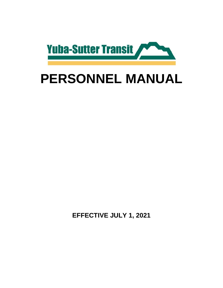

# **PERSONNEL MANUAL**

**EFFECTIVE JULY 1, 2021**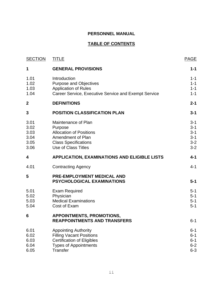# **PERSONNEL MANUAL**

# **TABLE OF CONTENTS**

| <b>SECTION</b>                               | <b>TITLE</b>                                                                                                                                           | <b>PAGE</b>                                                    |
|----------------------------------------------|--------------------------------------------------------------------------------------------------------------------------------------------------------|----------------------------------------------------------------|
| 1                                            | <b>GENERAL PROVISIONS</b>                                                                                                                              | $1 - 1$                                                        |
| 1.01<br>1.02<br>1.03<br>1.04                 | Introduction<br><b>Purpose and Objectives</b><br><b>Application of Rules</b><br>Career Service, Executive Service and Exempt Service                   | $1 - 1$<br>$1 - 1$<br>$1 - 1$<br>$1 - 1$                       |
| $\boldsymbol{2}$                             | <b>DEFINITIONS</b>                                                                                                                                     | $2 - 1$                                                        |
| 3                                            | <b>POSITION CLASSIFICATION PLAN</b>                                                                                                                    | $3 - 1$                                                        |
| 3.01<br>3.02<br>3.03<br>3.04<br>3.05<br>3.06 | Maintenance of Plan<br>Purpose<br><b>Allocation of Positions</b><br>Amendment of Plan<br><b>Class Specifications</b><br><b>Use of Class Titles</b>     | $3 - 1$<br>$3 - 1$<br>$3 - 1$<br>$3 - 1$<br>$3 - 2$<br>$3 - 2$ |
| 4                                            | <b>APPLICATION, EXAMINATIONS AND ELIGIBLE LISTS</b>                                                                                                    | $4 - 1$                                                        |
| 4.01                                         | <b>Contracting Agency</b>                                                                                                                              | $4 - 1$                                                        |
| 5                                            | <b>PRE-EMPLOYMENT MEDICAL AND</b><br><b>PSYCHOLOGICAL EXAMINATIONS</b>                                                                                 | $5 - 1$                                                        |
| 5.01<br>5.02<br>5.03<br>5.04                 | <b>Exam Required</b><br>Physician<br><b>Medical Examinations</b><br>Cost of Exam                                                                       | $5 - 1$<br>$5 - 1$<br>$5 - 1$<br>$5 - 1$                       |
| 6                                            | <b>APPOINTMENTS, PROMOTIONS,</b><br><b>REAPPOINTMENTS AND TRANSFERS</b>                                                                                | 6-1                                                            |
| 6.01<br>6.02<br>6.03<br>6.04<br>6.05         | <b>Appointing Authority</b><br><b>Filling Vacant Positions</b><br><b>Certification of Eligibles</b><br><b>Types of Appointments</b><br><b>Transfer</b> | $6 - 1$<br>$6 - 1$<br>$6 - 1$<br>$6 - 2$<br>$6 - 3$            |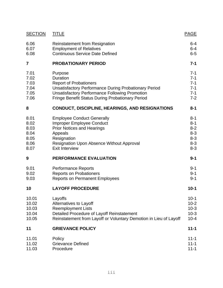| <b>SECTION</b> | <b>TITLE</b>                                                      | <b>PAGE</b> |
|----------------|-------------------------------------------------------------------|-------------|
| 6.06           | <b>Reinstatement from Resignation</b>                             | 6-4         |
| 6.07           | <b>Employment of Relatives</b>                                    | $6 - 4$     |
| 6.08           | <b>Continuous Service Date Defined</b>                            | $6-5$       |
| $\overline{7}$ | <b>PROBATIONARY PERIOD</b>                                        | $7 - 1$     |
| 7.01           | Purpose                                                           | $7 - 1$     |
| 7.02           | <b>Duration</b>                                                   | $7 - 1$     |
| 7.03           | <b>Report of Probationers</b>                                     | $7 - 1$     |
| 7.04           | <b>Unsatisfactory Performance During Probationary Period</b>      | $7 - 1$     |
| 7.05           | <b>Unsatisfactory Performance Following Promotion</b>             | $7 - 1$     |
| 7.06           | <b>Fringe Benefit Status During Probationary Period</b>           | $7 - 2$     |
| 8              | <b>CONDUCT, DISCIPLINE, HEARINGS, AND RESIGNATIONS</b>            | $8 - 1$     |
| 8.01           | <b>Employee Conduct Generally</b>                                 | $8 - 1$     |
| 8.02           | <b>Improper Employee Conduct</b>                                  | $8 - 1$     |
| 8.03           | <b>Prior Notices and Hearings</b>                                 | $8 - 2$     |
| 8.04           | Appeals                                                           | $8 - 3$     |
| 8.05           | Resignation                                                       | $8 - 3$     |
| 8.06           | Resignation Upon Absence Without Approval                         | $8 - 3$     |
| 8.07           | <b>Exit Interview</b>                                             | $8 - 3$     |
| 9              | PERFORMANCE EVALUATION                                            | $9 - 1$     |
| 9.01           | <b>Performance Reports</b>                                        | $9 - 1$     |
| 9.02           | <b>Reports on Probationers</b>                                    | $9 - 1$     |
| 9.03           | <b>Reports on Permanent Employees</b>                             | $9 - 1$     |
| 10             | <b>LAYOFF PROCEDURE</b>                                           | $10 - 1$    |
| 10.01          | Layoffs                                                           | $10-1$      |
| 10.02          | Alternatives to Layoff                                            | $10 - 2$    |
| 10.03          | <b>Reemployment Lists</b>                                         | $10-3$      |
| 10.04          | Detailed Procedure of Layoff Reinstatement                        | $10-3$      |
| 10.05          | Reinstatement from Layoff or Voluntary Demotion in Lieu of Layoff | $10 - 4$    |
| 11             | <b>GRIEVANCE POLICY</b>                                           | $11 - 1$    |
| 11.01          | Policy                                                            | $11 - 1$    |
| 11.02          | <b>Grievance Defined</b>                                          | $11 - 1$    |
| 11.03          | Procedure                                                         | $11 - 1$    |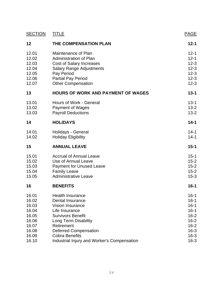| <b>SECTION</b> | <b>TITLE</b>                                | <b>PAGE</b> |
|----------------|---------------------------------------------|-------------|
| 12             | THE COMPENSATION PLAN                       | $12 - 1$    |
| 12.01          | Maintenance of Plan                         | $12 - 1$    |
| 12.02          | Administration of Plan                      | $12 - 1$    |
| 12.03          | <b>Cost of Salary Increases</b>             | $12 - 3$    |
| 12.04          | <b>Salary Range Adjustments</b>             | $12 - 3$    |
| 12.05          | Pay Period                                  | $12 - 3$    |
| 12.06          | <b>Partial Pay Period</b>                   | $12 - 3$    |
| 12.07          | <b>Other Compensation</b>                   | $12 - 3$    |
| 13             | <b>HOURS OF WORK AND PAYMENT OF WAGES</b>   | $13 - 1$    |
| 13.01          | Hours of Work - General                     | $13 - 1$    |
| 13.02          | <b>Payment of Wages</b>                     | $13 - 2$    |
| 13.03          | <b>Payroll Deductions</b>                   | $13 - 2$    |
| 14             | <b>HOLIDAYS</b>                             | $14 - 1$    |
| 14.01          | Holidays - General                          | $14 - 1$    |
| 14.02          | <b>Holiday Eligibility</b>                  | $14 - 1$    |
| 15             | <b>ANNUAL LEAVE</b>                         | $15 - 1$    |
| 15.01          | <b>Accrual of Annual Leave</b>              | $15 - 1$    |
| 15.02          | Use of Annual Leave                         | $15 - 2$    |
| 15.03          | <b>Payment for Unused Leave</b>             | $15 - 2$    |
| 15.04          | <b>Family Leave</b>                         | $15 - 2$    |
| 15.05          | <b>Administrative Leave</b>                 | $15-3$      |
| 16             | <b>BENEFITS</b>                             | $16 - 1$    |
| 16.01          | <b>Health Insurance</b>                     | $16 - 1$    |
| 16.02          | Dental Insurance                            | $16 - 1$    |
| 16.03          | <b>Vision Insurance</b>                     | $16 - 1$    |
| 16.04          | Life Insurance                              | $16 - 1$    |
| 16.05          | <b>Survivors Benefit</b>                    | $16 - 2$    |
| 16.06          | Long Term Disability                        | $16 - 2$    |
| 16.07          | Retirement                                  | $16 - 2$    |
| 16.08          | <b>Deferred Compensation</b>                | $16 - 3$    |
| 16.09          | <b>Cobra Benefits</b>                       | $16 - 3$    |
| 16.10          | Industrial Injury and Worker's Compensation | $16 - 3$    |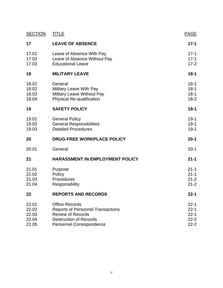| <b>SECTION</b>                            | <b>TITLE</b>                                                                                                                                                      | <b>PAGE</b>                                              |
|-------------------------------------------|-------------------------------------------------------------------------------------------------------------------------------------------------------------------|----------------------------------------------------------|
| 17                                        | <b>LEAVE OF ABSENCE</b>                                                                                                                                           | $17 - 1$                                                 |
| 17.01<br>17.02<br>17.03                   | Leave of Absence With Pay<br>Leave of Absence Without Pay<br><b>Educational Leave</b>                                                                             | $17 - 1$<br>$17 - 1$<br>$17 - 2$                         |
| 18                                        | <b>MILITARY LEAVE</b>                                                                                                                                             | $18 - 1$                                                 |
| 18.01<br>18.02<br>18.03<br>18.04          | General<br>Military Leave With Pay<br>Military Leave Without Pay<br>Physical Re-qualification                                                                     | $18 - 1$<br>$18 - 1$<br>$18 - 1$<br>$18-2$               |
| 19                                        | <b>SAFETY POLICY</b>                                                                                                                                              | $19-1$                                                   |
| 19.01<br>19.02<br>19.03                   | <b>General Policy</b><br><b>General Responsibilities</b><br><b>Detailed Procedures</b>                                                                            | $19-1$<br>$19-1$<br>$19-1$                               |
| 20                                        | <b>DRUG-FREE WORKPLACE POLICY</b>                                                                                                                                 | $20 - 1$                                                 |
| 20.01                                     | General                                                                                                                                                           | $20 - 1$                                                 |
| 21                                        | <b>HARASSMENT IN EMPLOYMENT POLICY</b>                                                                                                                            | $21 - 1$                                                 |
| 21.01<br>21.02<br>21.03<br>21.04          | Purpose<br>Policy<br>Procedures<br>Responsibility                                                                                                                 | $21 - 1$<br>$21 - 1$<br>$21 - 2$<br>$21 - 2$             |
| 22                                        | <b>REPORTS AND RECORDS</b>                                                                                                                                        | $22 - 1$                                                 |
| 22.01<br>22.02<br>22.03<br>22.04<br>22.05 | <b>Office Records</b><br><b>Reports of Personnel Transactions</b><br><b>Review of Records</b><br><b>Destruction of Records</b><br><b>Personnel Correspondence</b> | $22 - 1$<br>$22 - 1$<br>$22 - 1$<br>$22 - 2$<br>$22 - 2$ |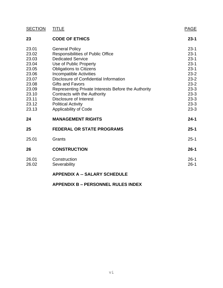| <b>SECTION</b> | <b>TITLE</b>                                        | <b>PAGE</b>          |
|----------------|-----------------------------------------------------|----------------------|
| 23             | <b>CODE OF ETHICS</b>                               | $23 - 1$             |
| 23.01          | <b>General Policy</b>                               | $23 - 1$             |
| 23.02          | <b>Responsibilities of Public Office</b>            | $23-1$               |
| 23.03          | <b>Dedicated Service</b>                            | $23 - 1$             |
| 23.04          | Use of Public Property                              | $23 - 1$             |
| 23.05          | <b>Obligations to Citizens</b>                      | $23 - 1$             |
| 23.06          | Incompatible Activities                             | $23 - 2$             |
| 23.07          | Disclosure of Confidential Information              | $23 - 2$             |
| 23.08          | <b>Gifts and Favors</b>                             | $23 - 2$             |
| 23.09          | Representing Private Interests Before the Authority | $23 - 3$             |
| 23.10          | Contracts with the Authority                        | $23 - 3$             |
| 23.11          | Disclosure of Interest                              | $23 - 3$             |
| 23.12          | <b>Political Activity</b>                           | $23 - 3$             |
| 23.13          | <b>Applicability of Code</b>                        | $23 - 3$             |
| 24             | <b>MANAGEMENT RIGHTS</b>                            | $24 - 1$             |
| 25             | <b>FEDERAL OR STATE PROGRAMS</b>                    | $25 - 1$             |
| 25.01          | Grants                                              | $25 - 1$             |
| 26             | <b>CONSTRUCTION</b>                                 | $26 - 1$             |
| 26.01<br>26.02 | Construction<br>Severability                        | $26 - 1$<br>$26 - 1$ |
|                | <b>APPENDIX A -- SALARY SCHEDULE</b>                |                      |

## **APPENDIX B – PERSONNEL RULES INDEX**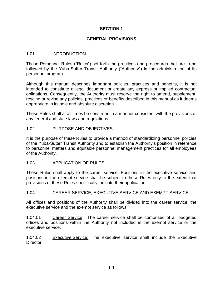## **GENERAL PROVISIONS**

## 1.01 INTRODUCTION

These Personnel Rules ("Rules") set forth the practices and procedures that are to be followed by the Yuba-Sutter Transit Authority ("Authority") in the administration of its personnel program.

Although this manual describes important policies, practices and benefits, it is not intended to constitute a legal document or create any express or implied contractual obligations. Consequently, the Authority must reserve the right to amend, supplement, rescind or revise any policies, practices or benefits described in this manual as it deems appropriate in its sole and absolute discretion.

These Rules shall at all times be construed in a manner consistent with the provisions of any federal and state laws and regulations.

## 1.02 PURPOSE AND OBJECTIVES

It is the purpose of these Rules to provide a method of standardizing personnel policies of the Yuba-Sutter Transit Authority and to establish the Authority's position in reference to personnel matters and equitable personnel management practices for all employees of the Authority.

## 1.03 APPLICATION OF RULES

These Rules shall apply to the career service. Positions in the executive service and positions in the exempt service shall be subject to these Rules only to the extent that provisions of these Rules specifically indicate their application.

#### 1.04 CAREER SERVICE, EXECUTIVE SERVICE AND EXEMPT SERVICE

All offices and positions of the Authority shall be divided into the career service, the executive service and the exempt service as follows:

1.04.01 Career Service. The career service shall be comprised of all budgeted offices and positions within the Authority not included in the exempt service or the executive service.

1.04.02 Executive Service. The executive service shall include the Executive Director.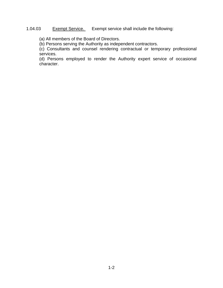## 1.04.03 Exempt Service. Exempt service shall include the following:

(a) All members of the Board of Directors.

(b) Persons serving the Authority as independent contractors.

(c) Consultants and counsel rendering contractual or temporary professional services.

(d) Persons employed to render the Authority expert service of occasional character.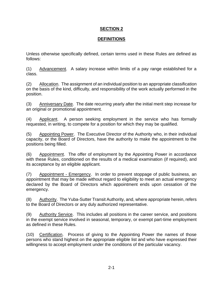## **DEFINITIONS**

Unless otherwise specifically defined, certain terms used in these Rules are defined as follows:

(1) Advancement. A salary increase within limits of a pay range established for a class.

(2) Allocation. The assignment of an individual position to an appropriate classification on the basis of the kind, difficulty, and responsibility of the work actually performed in the position.

(3) Anniversary Date. The date recurring yearly after the initial merit step increase for an original or promotional appointment.

(4) Applicant. A person seeking employment in the service who has formally requested, in writing, to compete for a position for which they may be qualified.

(5) Appointing Power. The Executive Director of the Authority who, in their individual capacity, or the Board of Directors, have the authority to make the appointment to the positions being filled.

(6) Appointment. The offer of employment by the Appointing Power in accordance with these Rules, conditioned on the results of a medical examination (if required), and its acceptance by an eligible applicant.

(7) Appointment - Emergency. In order to prevent stoppage of public business, an appointment that may be made without regard to eligibility to meet an actual emergency declared by the Board of Directors which appointment ends upon cessation of the emergency.

(8) Authority. The Yuba-Sutter Transit Authority, and, where appropriate herein, refers to the Board of Directors or any duly authorized representative.

(9) Authority Service. This includes all positions in the career service, and positions in the exempt service involved in seasonal, temporary, or exempt part-time employment as defined in these Rules.

(10) Certification. Process of giving to the Appointing Power the names of those persons who stand highest on the appropriate eligible list and who have expressed their willingness to accept employment under the conditions of the particular vacancy.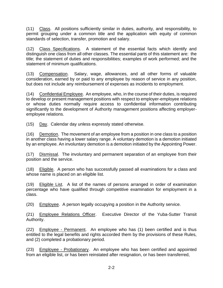(11) Class. All positions sufficiently similar in duties, authority, and responsibility, to permit grouping under a common title and the application with equity of common standards of selection, transfer, promotion and salary.

(12) Class Specifications. A statement of the essential facts which identify and distinguish one class from all other classes. The essential parts of this statement are: the title; the statement of duties and responsibilities; examples of work performed; and the statement of minimum qualifications.

(13) Compensation. Salary, wage, allowances, and all other forms of valuable consideration, earned by or paid to any employee by reason of service in any position, but does not include any reimbursement of expenses as incidents to employment.

(14) Confidential Employee. An employee, who, in the course of their duties, is required to develop or present management positions with respect to employer-employee relations or whose duties normally require access to confidential information contributing significantly to the development of Authority management positions affecting employeremployee relations.

(15) Day. Calendar day unless expressly stated otherwise.

(16) Demotion. The movement of an employee from a position in one class to a position in another class having a lower salary range. A voluntary demotion is a demotion initiated by an employee. An involuntary demotion is a demotion initiated by the Appointing Power.

(17) Dismissal. The involuntary and permanent separation of an employee from their position and the service.

(18) Eligible. A person who has successfully passed all examinations for a class and whose name is placed on an eligible list.

(19) Eligible List. A list of the names of persons arranged in order of examination percentage who have qualified through competitive examination for employment in a class.

(20) Employee. A person legally occupying a position in the Authority service.

(21) Employee Relations Officer. Executive Director of the Yuba-Sutter Transit Authority.

(22) Employee - Permanent. An employee who has (1) been certified and is thus entitled to the legal benefits and rights accorded them by the provisions of these Rules, and (2) completed a probationary period.

(23) Employee - Probationary. An employee who has been certified and appointed from an eligible list, or has been reinstated after resignation, or has been transferred,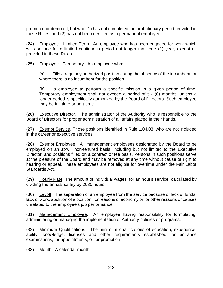promoted or demoted, but who (1) has not completed the probationary period provided in these Rules, and (2) has not been certified as a permanent employee.

(24) Employee - Limited-Term. An employee who has been engaged for work which will continue for a limited continuous period not longer than one (1) year, except as provided in these Rules.

(25) Employee - Temporary. An employee who:

(a) Fills a regularly authorized position during the absence of the incumbent, or where there is no incumbent for the position.

(b) Is employed to perform a specific mission in a given period of time. Temporary employment shall not exceed a period of six (6) months, unless a longer period is specifically authorized by the Board of Directors. Such employee may be full-time or part-time.

(26) Executive Director. The administrator of the Authority who is responsible to the Board of Directors for proper administration of all affairs placed in their hands.

(27) Exempt Service. Those positions identified in Rule 1.04.03, who are not included in the career or executive services.

(28) Exempt Employee. All management employees designated by the Board to be employed on an at-will non-tenured basis, including but not limited to the Executive Director, and positions filled on a contract or fee basis. Persons in such positions serve at the pleasure of the Board and may be removed at any time without cause or right to hearing or appeal. These employees are not eligible for overtime under the Fair Labor Standards Act.

(29) Hourly Rate. The amount of individual wages, for an hour's service, calculated by dividing the annual salary by 2080 hours.

(30) Layoff. The separation of an employee from the service because of lack of funds, lack of work, abolition of a position, for reasons of economy or for other reasons or causes unrelated to the employee's job performance.

(31) Management Employee. An employee having responsibility for formulating, administering or managing the implementation of Authority policies or programs.

(32) Minimum Qualifications. The minimum qualifications of education, experience, ability, knowledge, licenses and other requirements established for entrance examinations, for appointments, or for promotion.

(33) Month. A calendar month.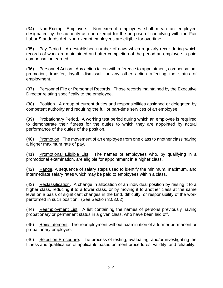(34) Non-Exempt Employee. Non-exempt employees shall mean an employee designated by the authority as non-exempt for the purpose of complying with the Fair Labor Standards Act. Non-exempt employees are eligible for overtime.

(35) Pay Period. An established number of days which regularly recur during which records of work are maintained and after completion of the period an employee is paid compensation earned.

(36) Personnel Action. Any action taken with reference to appointment, compensation, promotion, transfer, layoff, dismissal, or any other action affecting the status of employment.

(37) Personnel File or Personnel Records. Those records maintained by the Executive Director relating specifically to the employee.

(38) Position. A group of current duties and responsibilities assigned or delegated by competent authority and requiring the full or part-time services of an employee.

(39) Probationary Period. A working test period during which an employee is required to demonstrate their fitness for the duties to which they are appointed by actual performance of the duties of the position.

(40) Promotion. The movement of an employee from one class to another class having a higher maximum rate of pay.

(41) Promotional Eligible List. The names of employees who, by qualifying in a promotional examination, are eligible for appointment in a higher class.

(42) Range. A sequence of salary steps used to identify the minimum, maximum, and intermediate salary rates which may be paid to employees within a class.

(43) Reclassification. A change in allocation of an individual position by raising it to a higher class, reducing it to a lower class, or by moving it to another class at the same level on a basis of significant changes in the kind, difficulty, or responsibility of the work performed in such position. (See Section 3.03.02)

(44) Reemployment List. A list containing the names of persons previously having probationary or permanent status in a given class, who have been laid off.

(45) Reinstatement. The reemployment without examination of a former permanent or probationary employee.

(46) Selection Procedure. The process of testing, evaluating, and/or investigating the fitness and qualification of applicants based on merit procedures, validity, and reliability.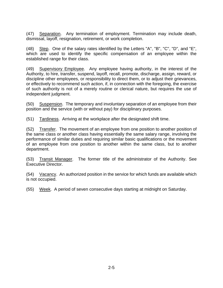(47) Separation. Any termination of employment. Termination may include death, dismissal, layoff, resignation, retirement, or work completion.

(48) Step. One of the salary rates identified by the Letters "A", "B", "C", "D", and "E", which are used to identify the specific compensation of an employee within the established range for their class.

(49) Supervisory Employee. Any employee having authority, in the interest of the Authority, to hire, transfer, suspend, layoff, recall, promote, discharge, assign, reward, or discipline other employees, or responsibility to direct them, or to adjust their grievances, or effectively to recommend such action, if, in connection with the foregoing, the exercise of such authority is not of a merely routine or clerical nature, but requires the use of independent judgment.

(50) Suspension. The temporary and involuntary separation of an employee from their position and the service (with or without pay) for disciplinary purposes.

(51) Tardiness. Arriving at the workplace after the designated shift time.

(52) Transfer. The movement of an employee from one position to another position of the same class or another class having essentially the same salary range, involving the performance of similar duties and requiring similar basic qualifications or the movement of an employee from one position to another within the same class, but to another department.

(53) Transit Manager. The former title of the administrator of the Authority. See Executive Director.

(54) Vacancy. An authorized position in the service for which funds are available which is not occupied.

(55) Week. A period of seven consecutive days starting at midnight on Saturday.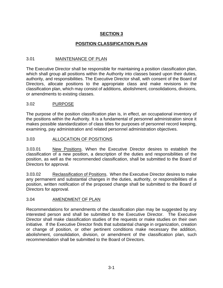# **POSITION CLASSIFICATION PLAN**

## 3.01 MAINTENANCE OF PLAN

The Executive Director shall be responsible for maintaining a position classification plan, which shall group all positions within the Authority into classes based upon their duties, authority, and responsibilities. The Executive Director shall, with consent of the Board of Directors, allocate positions to the appropriate class and make revisions in the classification plan, which may consist of additions, abolishment, consolidations, divisions, or amendments to existing classes.

## 3.02 PURPOSE

The purpose of the position classification plan is, in effect, an occupational inventory of the positions within the Authority. It is a fundamental of personnel administration since it makes possible standardization of class titles for purposes of personnel record keeping, examining, pay administration and related personnel administration objectives.

# 3.03 ALLOCATION OF POSITIONS

3.03.01 New Positions. When the Executive Director desires to establish the classification of a new position, a description of the duties and responsibilities of the position, as well as the recommended classification, shall be submitted to the Board of Directors for approval.

3.03.02 Reclassification of Positions. When the Executive Director desires to make any permanent and substantial changes in the duties, authority, or responsibilities of a position, written notification of the proposed change shall be submitted to the Board of Directors for approval.

## 3.04 AMENDMENT OF PLAN

Recommendations for amendments of the classification plan may be suggested by any interested person and shall be submitted to the Executive Director. The Executive Director shall make classification studies of the requests or make studies on their own initiative. If the Executive Director finds that substantial change in organization, creation or change of position, or other pertinent conditions make necessary the addition, abolishment, consolidation, division, or amendment of the classification plan, such recommendation shall be submitted to the Board of Directors.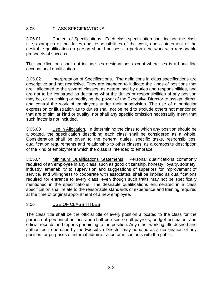## 3.05 CLASS SPECIFICATIONS

3.05.01 Content of Specifications. Each class specification shall include the class title, examples of the duties and responsibilities of the work, and a statement of the desirable qualifications a person should possess to perform the work with reasonable prospects of success.

The specifications shall not include sex designations except where sex is a bona fide occupational qualification.

3.05.02 Interpretation of Specifications. The definitions in class specifications are descriptive and not restrictive. They are intended to indicate the kinds of positions that are allocated to the several classes, as determined by duties and responsibilities, and are not to be construed as declaring what the duties or responsibilities of any position may be, or as limiting or modifying the power of the Executive Director to assign, direct, and control the work of employees under their supervision. The use of a particular expression or illustration as to duties shall not be held to exclude others not mentioned that are of similar kind or quality, nor shall any specific omission necessarily mean that such factor is not included.

3.05.03 Use in Allocation. In determining the class to which any position should be allocated, the specification describing each class shall be considered as a whole. Consideration shall be given to the general duties, specific tasks, responsibilities, qualification requirements and relationship to other classes, as a composite description of the kind of employment which the class is intended to embrace.

3.05.04 Minimum Qualifications Statements. Personal qualifications commonly required of an employee in any class, such as good citizenship, honesty, loyalty, sobriety, industry, amenability to supervision and suggestions of superiors for improvement of service, and willingness to cooperate with associates, shall be implied as qualifications required for entrance to every class, even though such traits may not be specifically mentioned in the specifications. The desirable qualifications enumerated in a class specification shall relate to the reasonable standards of experience and training required at the time of original appointment of a new employee.

# 3.06 USE OF CLASS TITLES

The class title shall be the official title of every position allocated to the class for the purpose of personnel actions and shall be used on all payrolls, budget estimates, and official records and reports pertaining to the position. Any other working title desired and authorized to be used by the Executive Director may be used as a designation of any position for purposes of internal administration or in contacts with the public.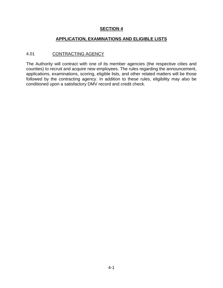## **APPLICATION, EXAMINATIONS AND ELIGIBLE LISTS**

## 4.01 CONTRACTING AGENCY

The Authority will contract with one of its member agencies (the respective cities and counties) to recruit and acquire new employees. The rules regarding the announcement, applications, examinations, scoring, eligible lists, and other related matters will be those followed by the contracting agency. In addition to these rules, eligibility may also be conditioned upon a satisfactory DMV record and credit check.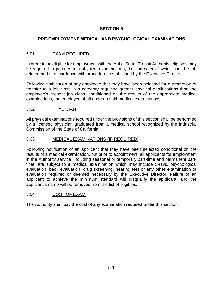# **PRE-EMPLOYMENT MEDICAL AND PSYCHOLOGICAL EXAMINATIONS**

## 5.01 EXAM REQUIRED

In order to be eligible for employment with the Yuba-Sutter Transit Authority, eligibles may be required to pass certain physical examinations, the character of which shall be job related and in accordance with procedures established by the Executive Director.

Following notification of any employee that they have been selected for a promotion or transfer to a job class in a category requiring greater physical qualifications than the employee's present job class, conditioned on the results of the appropriate medical examinations, the employee shall undergo said medical examinations.

## 5.02 PHYSICIAN

All physical examinations required under the provisions of this section shall be performed by a licensed physician graduated from a medical school recognized by the Industrial Commission of the State of California.

## 5.03 MEDICAL EXAMINATIONS (IF REQUIRED)

Following notification of an applicant that they have been selected conditional on the results of a medical examination, but prior to appointment, all applicants for employment in the Authority service, including seasonal or temporary part-time and permanent parttime, are subject to a medical examination which may include x-rays, psychological evaluation, back evaluation, drug screening, hearing test or any other examination or evaluation required or deemed necessary by the Executive Director. Failure of an applicant to achieve the minimum standard will disqualify the applicant, and the applicant's name will be removed from the list of eligibles.

## 5.04 COST OF EXAM

The Authority shall pay the cost of any examination required under this section.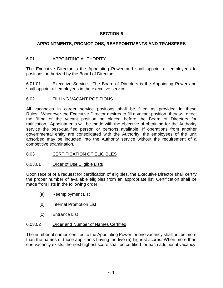## **APPOINTMENTS, PROMOTIONS, REAPPOINTMENTS AND TRANSFERS**

## 6.01 APPOINTING AUTHORITY

The Executive Director is the Appointing Power and shall appoint all employees to positions authorized by the Board of Directors.

6.01.01 Executive Service. The Board of Directors is the Appointing Power and shall appoint all employees in the executive service.

## 6.02 FILLING VACANT POSITIONS

All vacancies in career service positions shall be filled as provided in these Rules. Whenever the Executive Director desires to fill a vacant position, they will direct the filling of the vacant position be placed before the Board of Directors for ratification. Appointments will be made with the objective of obtaining for the Authority service the best-qualified person or persons available. If operations from another governmental entity are consolidated with the Authority, the employees of the unit absorbed may be inducted into the Authority service without the requirement of a competitive examination.

## 6.03 CERTIFICATION OF ELIGIBLES

#### 6.03.01 Order of Use Eligible Lists

Upon receipt of a request for certification of eligibles, the Executive Director shall certify the proper number of available eligibles from an appropriate list. Certification shall be made from lists in the following order:

- (a) Reemployment List
- (b) Internal Promotion List
- (c) Entrance List

#### 6.03.02 Order and Number of Names Certified

The number of names certified to the Appointing Power for one vacancy shall not be more than the names of those applicants having the five (5) highest scores. When more than one vacancy exists, the next highest score shall be certified for each additional vacancy.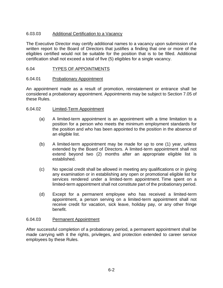## 6.03.03 Additional Certification to a Vacancy

The Executive Director may certify additional names to a vacancy upon submission of a written report to the Board of Directors that justifies a finding that one or more of the eligibles certified would not be suitable for the position that is to be filled. Additional certification shall not exceed a total of five (5) eligibles for a single vacancy.

## 6.04 TYPES OF APPOINTMENTS

#### 6.04.01 Probationary Appointment

An appointment made as a result of promotion, reinstatement or entrance shall be considered a probationary appointment. Appointments may be subject to Section 7.05 of these Rules.

#### 6.04.02 Limited-Term Appointment

- (a) A limited-term appointment is an appointment with a time limitation to a position for a person who meets the minimum employment standards for the position and who has been appointed to the position in the absence of an eligible list.
- (b) A limited-term appointment may be made for up to one (1) year, unless extended by the Board of Directors. A limited-term appointment shall not extend beyond two (2) months after an appropriate eligible list is established.
- (c) No special credit shall be allowed in meeting any qualifications or in giving any examination or in establishing any open or promotional eligible list for services rendered under a limited-term appointment. Time spent on a limited-term appointment shall not constitute part of the probationary period.
- (d) Except for a permanent employee who has received a limited-term appointment, a person serving on a limited-term appointment shall not receive credit for vacation, sick leave, holiday pay, or any other fringe benefit.

#### 6.04.03 Permanent Appointment

After successful completion of a probationary period, a permanent appointment shall be made carrying with it the rights, privileges, and protection extended to career service employees by these Rules.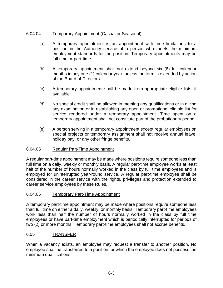## 6.04.04 Temporary Appointment (Casual or Seasonal)

- (a) A temporary appointment is an appointment with time limitations to a position in the Authority service of a person who meets the minimum employment standards for the position. Temporary appointments may be full time or part-time.
- (b) A temporary appointment shall not extend beyond six (6) full calendar months in any one (1) calendar year, unless the term is extended by action of the Board of Directors.
- (c) A temporary appointment shall be made from appropriate eligible lists, if available.
- (d) No special credit shall be allowed in meeting any qualifications or in giving any examination or in establishing any open or promotional eligible list for service rendered under a temporary appointment. Time spent on a temporary appointment shall not constitute part of the probationary period.
- (e) A person serving in a temporary appointment except regular employees on special projects or temporary assignment shall not receive annual leave, holiday pay, or any other fringe benefits.

#### 6.04.05 Regular Part-Time Appointment

A regular part-time appointment may be made where positions require someone less than full time on a daily, weekly or monthly basis. A regular part-time employee works at least half of the number of hours normally worked in the class by full time employees and is employed for uninterrupted year-round service. A regular part-time employee shall be considered in the career service with the rights, privileges and protection extended to career service employees by these Rules.

#### 6.04.06 Temporary Part-Time Appointment

A temporary part-time appointment may be made where positions require someone less than full time on either a daily, weekly, or monthly basis. Temporary part-time employees work less than half the number of hours normally worked in the class by full time employees or have part-time employment which is periodically interrupted for periods of two (2) or more months. Temporary part-time employees shall not accrue benefits.

#### 6.05 TRANSFER

When a vacancy exists, an employee may request a transfer to another position. No employee shall be transferred to a position for which the employee does not possess the minimum qualifications.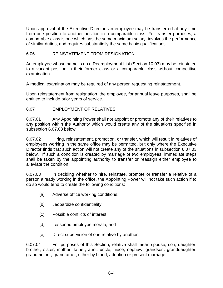Upon approval of the Executive Director, an employee may be transferred at any time from one position to another position in a comparable class. For transfer purposes, a comparable class is one which has the same maximum salary, involves the performance of similar duties, and requires substantially the same basic qualifications.

## 6.06 REINSTATEMENT FROM RESIGNATION

An employee whose name is on a Reemployment List (Section 10.03) may be reinstated to a vacant position in their former class or a comparable class without competitive examination.

A medical examination may be required of any person requesting reinstatement.

Upon reinstatement from resignation, the employee, for annual leave purposes, shall be entitled to include prior years of service.

# 6.07 EMPLOYMENT OF RELATIVES

6.07.01 Any Appointing Power shall not appoint or promote any of their relatives to any position within the Authority which would create any of the situations specified in subsection 6.07.03 below.

6.07.02 Hiring, reinstatement, promotion, or transfer, which will result in relatives of employees working in the same office may be permitted, but only where the Executive Director finds that such action will not create any of the situations in subsection 6.07.03 below. If such a condition is created by marriage of two employees, immediate steps shall be taken by the appointing authority to transfer or reassign either employee to alleviate the condition.

6.07.03 In deciding whether to hire, reinstate, promote or transfer a relative of a person already working in the office, the Appointing Power will not take such action if to do so would tend to create the following conditions:

- (a) Adverse office working conditions;
- (b) Jeopardize confidentiality;
- (c) Possible conflicts of interest;
- (d) Lessened employee morale; and
- (e) Direct supervision of one relative by another.

6.07.04 For purposes of this Section, relative shall mean spouse, son, daughter, brother, sister, mother, father, aunt, uncle, niece, nephew, grandson, granddaughter, grandmother, grandfather, either by blood, adoption or present marriage.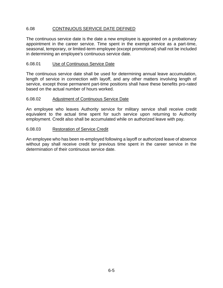## 6.08 CONTINUOUS SERVICE DATE DEFINED

The continuous service date is the date a new employee is appointed on a probationary appointment in the career service. Time spent in the exempt service as a part-time, seasonal, temporary, or limited-term employee (except promotional) shall not be included in determining an employee's continuous service date.

#### 6.08.01 Use of Continuous Service Date

The continuous service date shall be used for determining annual leave accumulation, length of service in connection with layoff, and any other matters involving length of service, except those permanent part-time positions shall have these benefits pro-rated based on the actual number of hours worked.

#### 6.08.02 Adjustment of Continuous Service Date

An employee who leaves Authority service for military service shall receive credit equivalent to the actual time spent for such service upon returning to Authority employment. Credit also shall be accumulated while on authorized leave with pay.

#### 6.08.03 Restoration of Service Credit

An employee who has been re-employed following a layoff or authorized leave of absence without pay shall receive credit for previous time spent in the career service in the determination of their continuous service date.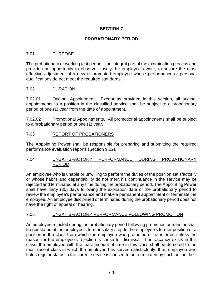## **PROBATIONARY PERIOD**

## 7.01 PURPOSE

The probationary or working test period is an integral part of the examination process and provides an opportunity to observe closely the employee's work, to secure the most effective adjustment of a new or promoted employee whose performance or personal qualifications do not meet the required standards.

#### 7.02 DURATION

7.02.01 Original Appointment. Except as provided in this section, all original appointments to a position in the classified service shall be subject to a probationary period of one (1) year from the date of appointment.

7.02.02 Promotional Appointments. All promotional appointments shall be subject to a probationary period of one (1) year.

#### 7.03 REPORT OF PROBATIONERS

The Appointing Power shall be responsible for preparing and submitting the required performance evaluation reports (Section 9.02).

#### 7.04 UNSATISFACTORY PERFORMANCE DURING PROBATIONARY PERIOD

An employee who is unable or unwilling to perform the duties of the position satisfactorily or whose habits and dependability do not merit his continuance in the service may be rejected and terminated at any time during the probationary period. The Appointing Power shall have thirty (30) days following the expiration date of the probationary period to review the employee's performance and make a permanent appointment or terminate the employee. An employee disciplined or terminated during the probationary period does not have the right of appeal or hearing.

#### 7.05 UNSATISFACTORY PERFORMANCE FOLLOWING PROMOTION

An employee rejected during the probationary period following promotion or transfer shall be reinstated at the employee's former salary step to the employee's former position or a position in the class from which the employee was promoted or transferred unless the reason for the employee's rejection is cause for dismissal. If no vacancy exists in this class, the employee with the least amount of time in this class shall be demoted to the most recent class in which the employee has served satisfactorily. If an employee who holds regular status in the career service is caused to be terminated by such action the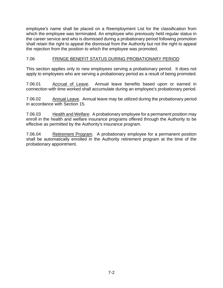employee's name shall be placed on a Reemployment List for the classification from which the employee was terminated. An employee who previously held regular status in the career service and who is dismissed during a probationary period following promotion shall retain the right to appeal the dismissal from the Authority but not the right to appeal the rejection from the position to which the employee was promoted.

## 7.06 FRINGE BENEFIT STATUS DURING PROBATIONARY PERIOD

This section applies only to new employees serving a probationary period. It does not apply to employees who are serving a probationary period as a result of being promoted.

7.06.01 Accrual of Leave. Annual leave benefits based upon or earned in connection with time worked shall accumulate during an employee's probationary period.

7.06.02 Annual Leave. Annual leave may be utilized during the probationary period in accordance with Section 15.

7.06.03 Health and Welfare. A probationary employee for a permanent position may enroll in the health and welfare insurance programs offered through the Authority to be effective as permitted by the Authority's insurance program.

7.06.04 Retirement Program. A probationary employee for a permanent position shall be automatically enrolled in the Authority retirement program at the time of the probationary appointment.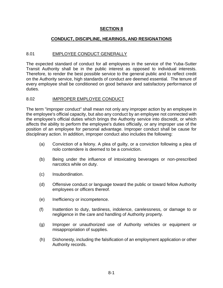## **CONDUCT, DISCIPLINE, HEARINGS, AND RESIGNATIONS**

#### 8.01 EMPLOYEE CONDUCT GENERALLY

The expected standard of conduct for all employees in the service of the Yuba-Sutter Transit Authority shall be in the public interest as opposed to individual interests. Therefore, to render the best possible service to the general public and to reflect credit on the Authority service, high standards of conduct are deemed essential. The tenure of every employee shall be conditioned on good behavior and satisfactory performance of duties.

#### 8.02 IMPROPER EMPLOYEE CONDUCT

The term "improper conduct" shall mean not only any improper action by an employee in the employee's official capacity, but also any conduct by an employee not connected with the employee's official duties which brings the Authority service into discredit, or which affects the ability to perform the employee's duties officially, or any improper use of the position of an employee for personal advantage. Improper conduct shall be cause for disciplinary action. In addition, improper conduct also includes the following:

- (a) Conviction of a felony. A plea of guilty, or a conviction following a plea of nolo contendere is deemed to be a conviction.
- (b) Being under the influence of intoxicating beverages or non-prescribed narcotics while on duty.
- (c) Insubordination.
- (d) Offensive conduct or language toward the public or toward fellow Authority employees or officers thereof.
- (e) Inefficiency or incompetence.
- (f) Inattention to duty, tardiness, indolence, carelessness, or damage to or negligence in the care and handling of Authority property.
- (g) Improper or unauthorized use of Authority vehicles or equipment or misappropriation of supplies.
- (h) Dishonesty, including the falsification of an employment application or other Authority records.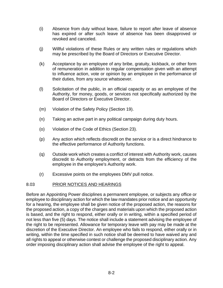- (i) Absence from duty without leave, failure to report after leave of absence has expired or after such leave of absence has been disapproved or revoked and canceled.
- (j) Willful violations of these Rules or any written rules or regulations which may be prescribed by the Board of Directors or Executive Director.
- (k) Acceptance by an employee of any bribe, gratuity, kickback, or other form of remuneration in addition to regular compensation given with an attempt to influence action, vote or opinion by an employee in the performance of their duties, from any source whatsoever.
- (l) Solicitation of the public, in an official capacity or as an employee of the Authority, for money, goods, or services not specifically authorized by the Board of Directors or Executive Director.
- (m) Violation of the Safety Policy (Section 19).
- (n) Taking an active part in any political campaign during duty hours.
- (o) Violation of the Code of Ethics (Section 23).
- (p) Any action which reflects discredit on the service or is a direct hindrance to the effective performance of Authority functions.
- (q) Outside work which creates a conflict of interest with Authority work, causes discredit to Authority employment, or detracts from the efficiency of the employee in the employee's Authority work.
- (r) Excessive points on the employees DMV pull notice.

## 8.03 PRIOR NOTICES AND HEARINGS

Before an Appointing Power disciplines a permanent employee, or subjects any office or employee to disciplinary action for which the law mandates prior notice and an opportunity for a hearing, the employee shall be given notice of the proposed action, the reasons for the proposed action, a copy of the charges and materials upon which the proposed action is based, and the right to respond, either orally or in writing, within a specified period of not less than five (5) days. The notice shall include a statement advising the employee of the right to be represented. Allowance for temporary leave with pay may be made at the discretion of the Executive Director. An employee who fails to respond, either orally or in writing, within the time specified in such notice shall be deemed to have waived any and all rights to appeal or otherwise contest or challenge the proposed disciplinary action. Any order imposing disciplinary action shall advise the employee of the right to appeal.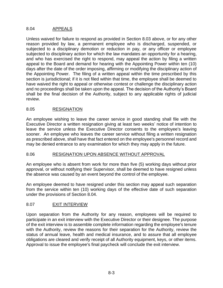## 8.04 APPEALS

Unless waived for failure to respond as provided in Section 8.03 above, or for any other reason provided by law, a permanent employee who is discharged, suspended, or subjected to a disciplinary demotion or reduction in pay, or any officer or employee subjected to disciplinary action for which the law mandates an opportunity for a hearing, and who has exercised the right to respond, may appeal the action by filing a written appeal to the Board and demand for hearing with the Appointing Power within ten (10) days after the date of the order imposing, affirming or modifying the disciplinary action of the Appointing Power. The filing of a written appeal within the time prescribed by this section is jurisdictional; if it is not filed within that time, the employee shall be deemed to have waived the right to appeal or otherwise contest or challenge the disciplinary action and no proceedings shall be taken upon the appeal. The decision of the Authority's Board shall be the final decision of the Authority, subject to any applicable rights of judicial review.

# 8.05 RESIGNATION

An employee wishing to leave the career service in good standing shall file with the Executive Director a written resignation giving at least two weeks' notice of intention to leave the service unless the Executive Director consents to the employee's leaving sooner. An employee who leaves the career service without filing a written resignation as prescribed above, shall have that fact entered on the employee's personnel record and may be denied entrance to any examination for which they may apply in the future.

## 8.06 RESIGNATION UPON ABSENCE WITHOUT APPROVAL

An employee who is absent from work for more than five (5) working days without prior approval, or without notifying their Supervisor, shall be deemed to have resigned unless the absence was caused by an event beyond the control of the employee.

An employee deemed to have resigned under this section may appeal such separation from the service within ten (10) working days of the effective date of such separation under the provisions of Section 8.04.

## 8.07 EXIT INTERVIEW

Upon separation from the Authority for any reason, employees will be required to participate in an exit interview with the Executive Director or their designee. The purpose of the exit interview is to assemble complete information regarding the employee's tenure with the Authority, review the reasons for their separation for the Authority, review the status of annual leave, health and medical insurance, and to assure that all employee obligations are cleared and verify receipt of all Authority equipment, keys, or other items. Approval to issue the employee's final paycheck will conclude the exit interview.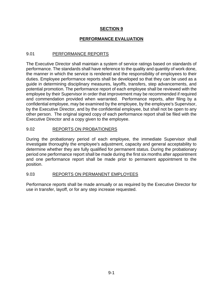# **PERFORMANCE EVALUATION**

## 9.01 PERFORMANCE REPORTS

The Executive Director shall maintain a system of service ratings based on standards of performance. The standards shall have reference to the quality and quantity of work done, the manner in which the service is rendered and the responsibility of employees to their duties. Employee performance reports shall be developed so that they can be used as a guide in determining disciplinary measures, layoffs, transfers, step advancements, and potential promotion. The performance report of each employee shall be reviewed with the employee by their Supervisor in order that improvement may be recommended if required and commendation provided when warranted. Performance reports, after filing by a confidential employee, may be examined by the employee, by the employee's Supervisor, by the Executive Director, and by the confidential employee, but shall not be open to any other person. The original signed copy of each performance report shall be filed with the Executive Director and a copy given to the employee.

## 9.02 REPORTS ON PROBATIONERS

During the probationary period of each employee, the immediate Supervisor shall investigate thoroughly the employee's adjustment, capacity and general acceptability to determine whether they are fully qualified for permanent status. During the probationary period one performance report shall be made during the first six months after appointment and one performance report shall be made prior to permanent appointment to the position.

#### 9.03 REPORTS ON PERMANENT EMPLOYEES

Performance reports shall be made annually or as required by the Executive Director for use in transfer, layoff, or for any step increase requested.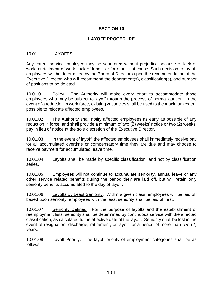## **LAYOFF PROCEDURE**

## 10.01 LAYOFFS

Any career service employee may be separated without prejudice because of lack of work, curtailment of work, lack of funds, or for other just cause. Such decision to lay off employees will be determined by the Board of Directors upon the recommendation of the Executive Director, who will recommend the department(s), classification(s), and number of positions to be deleted.

10.01.01 Policy. The Authority will make every effort to accommodate those employees who may be subject to layoff through the process of normal attrition. In the event of a reduction in work force, existing vacancies shall be used to the maximum extent possible to relocate affected employees.

10.01.02 The Authority shall notify affected employees as early as possible of any reduction in force, and shall provide a minimum of two (2) weeks' notice or two (2) weeks' pay in lieu of notice at the sole discretion of the Executive Director.

10.01.03 In the event of layoff, the affected employees shall immediately receive pay for all accumulated overtime or compensatory time they are due and may choose to receive payment for accumulated leave time.

10.01.04 Layoffs shall be made by specific classification, and not by classification series.

10.01.05 Employees will not continue to accumulate seniority, annual leave or any other service related benefits during the period they are laid off, but will retain only seniority benefits accumulated to the day of layoff.

10.01.06 Layoffs by Least Seniority. Within a given class, employees will be laid off based upon seniority; employees with the least seniority shall be laid off first.

10.01.07 Seniority Defined. For the purpose of layoffs and the establishment of reemployment lists, seniority shall be determined by continuous service with the affected classification, as calculated to the effective date of the layoff. Seniority shall be lost in the event of resignation, discharge, retirement, or layoff for a period of more than two (2) years.

10.01.08 Layoff Priority. The layoff priority of employment categories shall be as follows: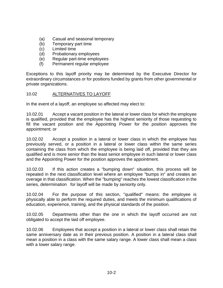- (a) Casual and seasonal temporary
- (b) Temporary part time
- (c) Limited time
- (d) Probationary employees
- (e) Regular part-time employees
- (f) Permanent regular employee

Exceptions to this layoff priority may be determined by the Executive Director for extraordinary circumstances or for positions funded by grants from other governmental or private organizations.

#### 10.02 ALTERNATIVES TO LAYOFF

In the event of a layoff, an employee so affected may elect to:

10.02.01 Accept a vacant position in the lateral or lower class for which the employee is qualified, provided that the employee has the highest seniority of those requesting to fill the vacant position and the Appointing Power for the position approves the appointment; or

10.02.02 Accept a position in a lateral or lower class in which the employee has previously served, or a position in a lateral or lower class within the same series containing the class from which the employee is being laid off, provided that they are qualified and is more senior than the least senior employee in such lateral or lower class and the Appointing Power for the position approves the appointment.

10.02.03 If this action creates a "bumping down" situation, this process will be repeated in the next classification level where an employee "bumps in" and creates an overage in that classification. When the "bumping" reaches the lowest classification in the series, determination for layoff will be made by seniority only.

10.02.04 For the purpose of this section, "qualified" means: the employee is physically able to perform the required duties, and meets the minimum qualifications of education, experience, training, and the physical standards of the position.

10.02.05 Departments other than the one in which the layoff occurred are not obligated to accept the laid off employee.

10.02.06 Employees that accept a position in a lateral or lower class shall retain the same anniversary date as in their previous position. A position in a lateral class shall mean a position in a class with the same salary range. A lower class shall mean a class with a lower salary range.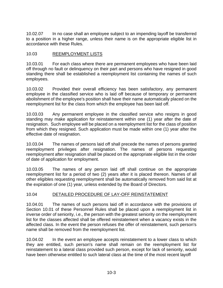10.02.07 In no case shall an employee subject to an impending layoff be transferred to a position in a higher range, unless their name is on the appropriate eligible list in accordance with these Rules.

# 10.03 REEMPLOYMENT LISTS

10.03.01 For each class where there are permanent employees who have been laid off through no fault or delinquency on their part and persons who have resigned in good standing there shall be established a reemployment list containing the names of such employees.

10.03.02 Provided their overall efficiency has been satisfactory, any permanent employee in the classified service who is laid off because of temporary or permanent abolishment of the employee's position shall have their name automatically placed on the reemployment list for the class from which the employee has been laid off.

10.03.03 Any permanent employee in the classified service who resigns in good standing may make application for reinstatement within one (1) year after the date of resignation. Such employee will be placed on a reemployment list for the class of position from which they resigned. Such application must be made within one (1) year after the effective date of resignation.

10.03.04 The names of persons laid off shall precede the names of persons granted reemployment privileges after resignation. The names of persons requesting reemployment after resignation shall be placed on the appropriate eligible list in the order of date of application for employment.

10.03.05 The names of any person laid off shall continue on the appropriate reemployment list for a period of two (2) years after it is placed thereon. Names of all other eligibles requesting reemployment shall be automatically removed from said list at the expiration of one (1) year, unless extended by the Board of Directors.

## 10.04 DETAILED PROCEDURE OF LAY-OFF REINSTATEMENT

10.04.01 The names of such persons laid off in accordance with the provisions of Section 10.01 of these Personnel Rules shall be placed upon a reemployment list in inverse order of seniority, i.e., the person with the greatest seniority on the reemployment list for the classes affected shall be offered reinstatement when a vacancy exists in the affected class. In the event the person refuses the offer of reinstatement, such person's name shall be removed from the reemployment list.

10.04.02 In the event an employee accepts reinstatement to a lower class to which they are entitled, such person's name shall remain on the reemployment list for reinstatement to a lateral class provided such person, except for lack of seniority, would have been otherwise entitled to such lateral class at the time of the most recent layoff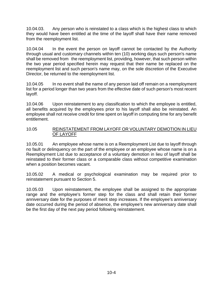10.04.03. Any person who is reinstated to a class which is the highest class to which they would have been entitled at the time of the layoff shall have their name removed from the reemployment list.

10.04.04 In the event the person on layoff cannot be contacted by the Authority through usual and customary channels within ten (10) working days such person's name shall be removed from the reemployment list, providing, however, that such person within the two year period specified herein may request that their name be replaced on the reemployment list and such person's name may, on the sole discretion of the Executive Director, be returned to the reemployment list.

10.04.05 In no event shall the name of any person laid off remain on a reemployment list for a period longer than two years from the effective date of such person's most recent layoff.

10.04.06 Upon reinstatement to any classification to which the employee is entitled, all benefits acquired by the employees prior to his layoff shall also be reinstated. An employee shall not receive credit for time spent on layoff in computing time for any benefit entitlement.

## 10.05 REINSTATEMENT FROM LAYOFF OR VOLUNTARY DEMOTION IN LIEU OF LAYOFF

10.05.01 An employee whose name is on a Reemployment List due to layoff through no fault or delinquency on the part of the employee or an employee whose name is on a Reemployment List due to acceptance of a voluntary demotion in lieu of layoff shall be reinstated to their former class or a comparable class without competitive examination when a position becomes vacant.

10.05.02 A medical or psychological examination may be required prior to reinstatement pursuant to Section 5.

10.05.03 Upon reinstatement, the employee shall be assigned to the appropriate range and the employee's former step for the class and shall retain their former anniversary date for the purposes of merit step increases. If the employee's anniversary date occurred during the period of absence, the employee's new anniversary date shall be the first day of the next pay period following reinstatement.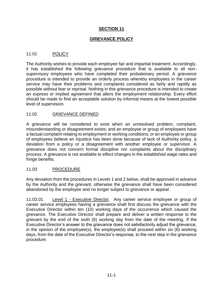## **GRIEVANCE POLICY**

## 11.01 POLICY

The Authority wishes to provide each employee fair and impartial treatment. Accordingly, it has established the following grievance procedure that is available to all nonsupervisory employees who have completed their probationary period. A grievance procedure is intended to provide an orderly process whereby employees in the career service may have their problems and complaints considered as fairly and rapidly as possible without fear or reprisal. Nothing in this grievance procedure is intended to create an express or implied agreement that alters the employment relationship. Every effort should be made to find an acceptable solution by informal means at the lowest possible level of supervision.

## 11.02 GRIEVANCE DEFINED

A grievance will be considered to exist when an unresolved problem, complaint, misunderstanding or disagreement exists; and an employee or group of employees have a factual complaint relating to employment or working conditions; or an employee or group of employees believe an injustice has been done because of lack of Authority policy, a deviation from a policy or a disagreement with another employee or supervisor. A grievance does not concern formal discipline nor complaints about the disciplinary process. A grievance is not available to effect changes in the established wage rates and fringe benefits.

## 11.03 PROCEDURE

Any deviation from the procedures in Levels 1 and 2 below, shall be approved in advance by the Authority and the grievant; otherwise the grievance shall have been considered abandoned by the employee and no longer subject to grievance or appeal.

11.03.01 Level 1 - Executive Director. Any career service employee or group of career service employees having a grievance shall first discuss the grievance with the Executive Director within ten (10) working days of the occurrence which caused the grievance. The Executive Director shall prepare and deliver a written response to the grievant by the end of the sixth (6) working day from the date of the meeting. If the Executive Director's answer to the grievance does not satisfactorily adjust the grievance, in the opinion of the employee(s), the employee(s) shall proceed within six (6) working days, from the date of the Executive Director's response, to the next step in the grievance procedure.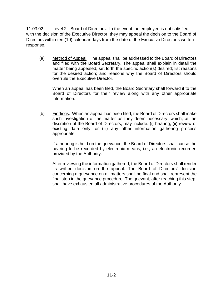11.03.02 Level 2 - Board of Directors. In the event the employee is not satisfied with the decision of the Executive Director, they may appeal the decision to the Board of Directors within ten (10) calendar days from the date of the Executive Director's written response.

(a) Method of Appeal: The appeal shall be addressed to the Board of Directors and filed with the Board Secretary. The appeal shall explain in detail the matter being appealed; set forth the specific action(s) desired; list reasons for the desired action; and reasons why the Board of Directors should overrule the Executive Director.

When an appeal has been filed, the Board Secretary shall forward it to the Board of Directors for their review along with any other appropriate information.

(b) Findings. When an appeal has been filed, the Board of Directors shall make such investigation of the matter as they deem necessary, which, at the discretion of the Board of Directors, may include: (i) hearing, (ii) review of existing data only, or (iii) any other information gathering process appropriate.

If a hearing is held on the grievance, the Board of Directors shall cause the hearing to be recorded by electronic means, i.e., an electronic recorder, provided by the Authority.

After reviewing the information gathered, the Board of Directors shall render its written decision on the appeal. The Board of Directors' decision concerning a grievance on all matters shall be final and shall represent the final step in the grievance procedure. The grievant, after reaching this step, shall have exhausted all administrative procedures of the Authority.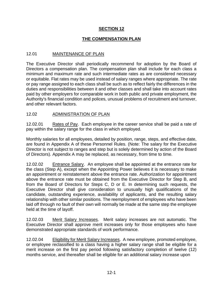# **THE COMPENSATION PLAN**

## 12.01 MAINTENANCE OF PLAN

The Executive Director shall periodically recommend for adoption by the Board of Directors a compensation plan. The compensation plan shall include for each class a minimum and maximum rate and such intermediate rates as are considered necessary or equitable. Flat rates may be used instead of salary ranges where appropriate. The rate or pay range assigned to each class shall be such as to reflect fairly the differences in the duties and responsibilities between it and other classes and shall take into account rates paid by other employers for comparable work in both public and private employment, the Authority's financial condition and polices, unusual problems of recruitment and turnover, and other relevant factors.

#### 12.02 ADMINISTRATION OF PLAN

12.02.01 Rates of Pay. Each employee in the career service shall be paid a rate of pay within the salary range for the class in which employed.

Monthly salaries for all employees, detailed by position, range, steps, and effective date, are found in Appendix A of these Personnel Rules. (Note: The salary for the Executive Director is not subject to ranges and step but is solely determined by action of the Board of Directors). Appendix A may be replaced, as necessary, from time to time.

12.02.02 Entrance Salary. An employee shall be appointed at the entrance rate for the class (Step A), except when the Appointing Power believes it is necessary to make an appointment or reinstatement above the entrance rate. Authorization for appointment above the entrance rate must be obtained from the Executive Director for Step B, and from the Board of Directors for Steps C, D or E. In determining such requests, the Executive Director shall give consideration to unusually high qualifications of the candidate, outstanding experience, availability of applicants, and the resulting salary relationship with other similar positions. The reemployment of employees who have been laid off through no fault of their own will normally be made at the same step the employee held at the time of layoff.

12.02.03 Merit Salary Increases. Merit salary increases are not automatic. The Executive Director shall approve merit increases only for those employees who have demonstrated appropriate standards of work performance.

12.02.04 Eligibility for Merit Salary Increases. A new employee, promoted employee, or employee reclassified to a class having a higher salary range shall be eligible for a merit increase on the first pay period following satisfactory completion of twelve (12) months service, and thereafter shall be eligible for an additional salary increase upon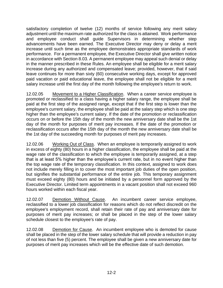satisfactory completion of twelve (12) months of service following any merit salary adjustment until the maximum rate authorized for the class is attained. Work performance and employee conduct shall guide Supervisors in determining whether step advancements have been earned. The Executive Director may deny or delay a merit increase until such time as the employee demonstrates appropriate standards of work performance. For a permanent employee, the Executive Director shall give written notice in accordance with Section 8.03. A permanent employee may appeal such denial or delay in the manner prescribed in these Rules. An employee shall be eligible for a merit salary increase during any authorized and compensated leave; provided, however, that if said leave continues for more than sixty (60) consecutive working days, except for approved paid vacation or paid educational leave, the employee shall not be eligible for a merit salary increase until the first day of the month following the employee's return to work.

12.02.05 Movement to a Higher Classification. When a career service employee is promoted or reclassified to a class having a higher salary range, the employee shall be paid at the first step of the assigned range, except that if the first step is lower than the employee's current salary, the employee shall be paid at the salary step which is one step higher than the employee's current salary. If the date of the promotion or reclassification occurs on or before the 15th day of the month the new anniversary date shall be the 1st day of the month for purposes of merit pay increases. If the date of the promotion or reclassification occurs after the 15th day of the month the new anniversary date shall be the 1st day of the succeeding month for purposes of merit pay increases.

12.02.06 Working Out of Class. When an employee is temporarily assigned to work in excess of eighty (80) hours in a higher classification, the employee shall be paid at the wage rate of the classification to which the employee is temporarily assigned, at a step that is at least 5% higher than the employee's current rate, but in no event higher than the top wage rate of the temporary classification. In this context, assigned to work does not include merely filling in to cover the most important job duties of the open position, but signifies the substantial performance of the entire job. This temporary assignment must exceed eighty (80) hours and be initiated by a personnel form approved by the Executive Director. Limited term appointments in a vacant position shall not exceed 960 hours worked within each fiscal year.

12.02.07 Demotion Without Cause. An incumbent career service employee, reclassified to a lower job classification for reasons which do not reflect discredit on the employee's employment record, shall retain their rate of pay and anniversary date for purposes of merit pay increases; or shall be placed in the step of the lower salary schedule closest to the employee's rate of pay.

12.02.08 Demotion for Cause. An incumbent employee who is demoted for cause shall be placed in the step of the lower salary schedule that will provide a reduction in pay of not less than five (5) percent. The employee shall be given a new anniversary date for purposes of merit pay increases which will be the effective date of such demotion.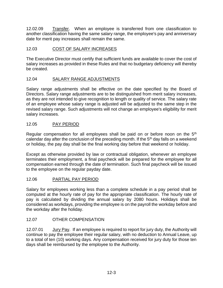12.02.09 Transfer. When an employee is transferred from one classification to another classification having the same salary range, the employee's pay and anniversary date for merit pay increases shall remain the same.

# 12.03 COST OF SALARY INCREASES

The Executive Director must certify that sufficient funds are available to cover the cost of salary increases as provided in these Rules and that no budgetary deficiency will thereby be created.

# 12.04 SALARY RANGE ADJUSTMENTS

Salary range adjustments shall be effective on the date specified by the Board of Directors. Salary range adjustments are to be distinguished from merit salary increases, as they are not intended to give recognition to length or quality of service. The salary rate of an employee whose salary range is adjusted will be adjusted to the same step in the revised salary range. Such adjustments will not change an employee's eligibility for merit salary increases.

# 12.05 PAY PERIOD

Regular compensation for all employees shall be paid on or before noon on the 5<sup>th</sup> calendar day after the conclusion of the preceding month. If the  $5<sup>th</sup>$  day falls on a weekend or holiday, the pay day shall be the final working day before that weekend or holiday.

Except as otherwise provided by law or contractual obligation, whenever an employee terminates their employment, a final paycheck will be prepared for the employee for all compensation earned through the date of termination. Such final paycheck will be issued to the employee on the regular payday date.

# 12.06 PARTIAL PAY PERIOD

Salary for employees working less than a complete schedule in a pay period shall be computed at the hourly rate of pay for the appropriate classification. The hourly rate of pay is calculated by dividing the annual salary by 2080 hours. Holidays shall be considered as workdays, providing the employee is on the payroll the workday before and the workday after the holiday.

# 12.07 OTHER COMPENSATION

12.07.01 *Jury Pay.* If an employee is required to report for jury duty, the Authority will continue to pay the employee their regular salary, with no deduction to Annual Leave, up to a total of ten (10) working days. Any compensation received for jury duty for those ten days shall be reimbursed by the employee to the Authority.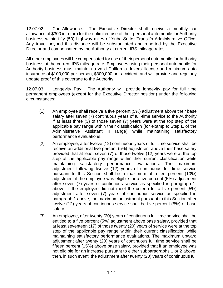12.07.02 Car Allowance. The Executive Director shall receive a monthly car allowance of \$300 in return for the unlimited use of their personal automobile for Authority business within fifty (50) highway miles of Yuba-Sutter Transit's Administrative Office. Any travel beyond this distance will be substantiated and reported by the Executive Director and compensated by the Authority at current IRS mileage rates.

All other employees will be compensated for use of their personal automobile for Authority business at the current IRS mileage rate. Employees using their personal automobile for Authority business must maintain a valid California drivers' license and minimum auto insurance of \$100,000 per person, \$300,000 per accident, and will provide and regularly update proof of this coverage to the Authority.

12.07.03 Longevity Pay: The Authority will provide longevity pay for full time permanent employees (except for the Executive Director position) under the following circumstances:

- (1) An employee shall receive a five percent (5%) adjustment above their base salary after seven (7) continuous years of full-time service to the Authority if at least three (3) of those seven (7) years were at the top step of the applicable pay range within their classification (for example: Step E of the Administrative Assistant II range) while maintaining satisfactory performance evaluations.
- (2) An employee, after twelve (12) continuous years of full time service shall be receive an additional five percent (5%) adjustment above their base salary provided that at least seven (7) of those twelve (12) years were at the top step of the applicable pay range within their current classification while maintaining satisfactory performance evaluations. The maximum adjustment following twelve (12) years of continuous full time service pursuant to this Section shall be a maximum of a ten percent (10%) adjustment if the employee was eligible for a five percent (5%) adjustment after seven (7) years of continuous service as specified in paragraph 1, above. If the employee did not meet the criteria for a five percent (5%) adjustment after seven (7) years of continuous service as specified in paragraph 1 above, the maximum adjustment pursuant to this Section after twelve (12) years of continuous service shall be five percent (5%) of base salary.
- (3) An employee, after twenty (20) years of continuous full time service shall be entitled to a five percent (5%) adjustment above base salary, provided that at least seventeen (17) of those twenty (20) years of service were at the top step of the applicable pay range within their current classification while maintaining satisfactory performance evaluations. The maximum upward adjustment after twenty (20) years of continuous full time service shall be fifteen percent (15%) above base salary, provided that if an employee was not eligible for an increase pursuant to either subparagraphs 1 or 2 above, then, in such event, the adjustment after twenty (20) years of continuous full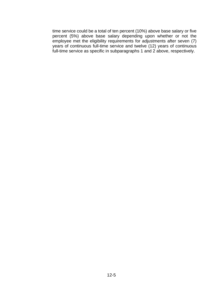time service could be a total of ten percent (10%) above base salary or five percent (5%) above base salary depending upon whether or not the employee met the eligibility requirements for adjustments after seven (7) years of continuous full-time service and twelve (12) years of continuous full-time service as specific in subparagraphs 1 and 2 above, respectively.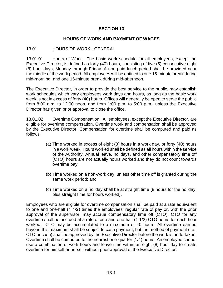## **HOURS OF WORK AND PAYMENT OF WAGES**

## 13.01 HOURS OF WORK - GENERAL

13.01.01 Hours of Work. The basic work schedule for all employees, except the Executive Director, is defined as forty (40) hours, consisting of five (5) consecutive eight (8) hour days, Monday through Friday. A non-paid lunch period shall be provided near the middle of the work period. All employees will be entitled to one 15-minute break during mid-morning, and one 15-minute break during mid-afternoon.

The Executive Director, in order to provide the best service to the public, may establish work schedules which vary employees work days and hours, as long as the basic work week is not in excess of forty (40) hours. Offices will generally be open to serve the public from 8:00 a.m. to 12:00 noon, and from 1:00 p.m. to 5:00 p.m., unless the Executive Director has given prior approval to close the office.

13.01.02 Overtime Compensation. All employees, except the Executive Director, are eligible for overtime compensation. Overtime work and compensation shall be approved by the Executive Director. Compensation for overtime shall be computed and paid as follows:

- (a) Time worked in excess of eight (8) hours in a work day, or forty (40) hours in a work week. Hours worked shall be defined as all hours within the service of the Authority. Annual leave, holidays, and other compensatory time off (CTO) hours are not actually hours worked and they do not count towards overtime pay;
- (b) Time worked on a non-work day, unless other time off is granted during the same work period; and
- (c) Time worked on a holiday shall be at straight time (8 hours for the holiday, plus straight time for hours worked).

Employees who are eligible for overtime compensation shall be paid at a rate equivalent to one and one-half (1 1/2) times the employees' regular rate of pay or, with the prior approval of the supervisor, may accrue compensatory time off (CTO). CTO for any overtime shall be accrued at a rate of one and one-half (1 1/2) CTO hours for each hour worked. CTO may be accumulated to a maximum of 40 hours. All overtime earned beyond this maximum shall be subject to cash payment, but the method of payment (i.e., CTO or cash) shall be approved by the Executive Director before the work is undertaken. Overtime shall be computed to the nearest one-quarter (1/4) hours. An employee cannot use a combination of work hours and leave time within an eight (8) hour day to create overtime for himself or herself without prior approval of the Executive Director.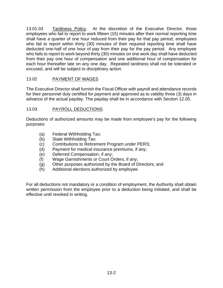13.01.03 Tardiness Policy. At the discretion of the Executive Director, those employees who fail to report to work fifteen (15) minutes after their normal reporting time shall have a quarter of one hour reduced from their pay for that pay period; employees who fail to report within thirty (30) minutes of their required reporting time shall have deducted one-half of one hour of pay from their pay for the pay period. Any employee who fails to report to work beyond thirty (30) minutes on one work day shall have deducted from their pay one hour of compensation and one additional hour of compensation for each hour thereafter late on any one day. Repeated tardiness shall not be tolerated or excused, and will be subject to disciplinary action.

# 13.02 PAYMENT OF WAGES

The Executive Director shall furnish the Fiscal Officer with payroll and attendance records for their personnel duly certified for payment and approved as to validity three (3) days in advance of the actual payday. The payday shall be in accordance with Section 12.05.

# 13.03 PAYROLL DEDUCTIONS

Deductions of authorized amounts may be made from employee's pay for the following purposes:

- (a) Federal Withholding Tax;
- (b) State Withholding Tax;
- (c) Contributions to Retirement Program under PERS;
- (d) Payment for medical insurance premiums, if any;
- (e) Deferred Compensation, if any;
- (f) Wage Garnishments or Court Orders, if any;
- (g) Other purposes authorized by the Board of Directors; and
- (h) Additional elections authorized by employee.

For all deductions not mandatory or a condition of employment, the Authority shall obtain written permission from the employee prior to a deduction being initiated, and shall be effective until revoked in writing.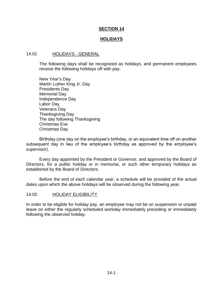#### **HOLIDAYS**

#### 14.01 HOLIDAYS - GENERAL

The following days shall be recognized as holidays, and permanent employees receive the following holidays off with pay:

New Year's Day Martin Luther King Jr. Day Presidents Day Memorial Day Independence Day Labor Day Veterans Day Thanksgiving Day The day following Thanksgiving Christmas Eve Christmas Day

Birthday (one day on the employee's birthday, or an equivalent time off on another subsequent day in lieu of the employee's birthday as approved by the employee's supervisor).

Every day appointed by the President or Governor, and approved by the Board of Directors, for a public holiday or in memorial, or such other temporary holidays as established by the Board of Directors.

Before the end of each calendar year, a schedule will be provided of the actual dates upon which the above holidays will be observed during the following year.

#### 14.02 HOLIDAY ELIGIBILITY

In order to be eligible for holiday pay, an employee may not be on suspension or unpaid leave on either the regularly scheduled workday immediately preceding or immediately following the observed holiday.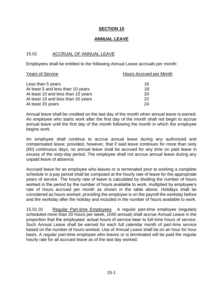## **ANNUAL LEAVE**

## 15.01 ACCRUAL OF ANNUAL LEAVE

Employees shall be entitled to the following Annual Leave accruals per month:

| <b>Years of Service</b>            | Hours Accrued per Month |  |
|------------------------------------|-------------------------|--|
| Less than 5 years                  | 16                      |  |
| At least 5 and less than 10 years  | 18                      |  |
| At least 10 and less than 15 years | 20                      |  |
| At least 15 and less than 20 years | 22                      |  |
| At least 20 years                  | 24                      |  |

Annual leave shall be credited on the last day of the month when annual leave is earned. An employee who starts work after the first day of the month shall not begin to accrue annual leave until the first day of the month following the month in which the employee begins work.

An employee shall continue to accrue annual leave during any authorized and compensated leave; provided, however, that if said leave continues for more than sixty (60) continuous days, no annual leave shall be accrued for any time on paid leave in excess of the sixty-day period. The employee shall not accrue annual leave during any unpaid leave of absence.

Accrued leave for an employee who leaves or is terminated prior to working a complete schedule in a pay period shall be computed at the hourly rate of leave for the appropriate years of service. The hourly rate of leave is calculated by dividing the number of hours worked in the period by the number of hours available to work, multiplied by employee's rate of hours accrued per month as shown in the table above. Holidays shall be considered as hours worked, providing the employee is on the payroll the workday before and the workday after the holiday and included in the number of hours available to work.

15.01.01 Regular Part-time Employees. A regular part-time employee (regularly scheduled more than 20 hours per week, 1040 annual) shall accrue Annual Leave in the proportion that the employees' actual hours of service bear to full-time hours of service. Such Annual Leave shall be earned for each full calendar month of part-time service based on the number of hours worked. Use of Annual Leave shall be on an hour for hour basis. A regular part-time employee who leaves or is terminated will be paid the regular hourly rate for all accrued leave as of the last day worked.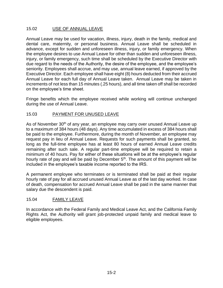## 15.02 USE OF ANNUAL LEAVE

Annual Leave may be used for vacation, illness, injury, death in the family, medical and dental care, maternity, or personal business. Annual Leave shall be scheduled in advance, except for sudden and unforeseen illness, injury, or family emergency. When the employee desires to use Annual Leave for other than sudden and unforeseen illness, injury, or family emergency, such time shall be scheduled by the Executive Director with due regard to the needs of the Authority, the desire of the employee, and the employee's seniority. Employees shall accrue, and may use, annual leave earned, if approved by the Executive Director. Each employee shall have eight (8) hours deducted from their accrued Annual Leave for each full day of Annual Leave taken. Annual Leave may be taken in increments of not less than 15 minutes (.25 hours), and all time taken off shall be recorded on the employee's time sheet.

Fringe benefits which the employee received while working will continue unchanged during the use of Annual Leave.

## 15.03 PAYMENT FOR UNUSED LEAVE

As of November 30<sup>th</sup> of any year, an employee may carry over unused Annual Leave up to a maximum of 384 hours (48 days). Any time accumulated in excess of 384 hours shall be paid to the employee. Furthermore, during the month of November, an employee may request pay in lieu of Annual Leave. Requests for such payments shall be granted, so long as the full-time employee has at least 80 hours of earned Annual Leave credits remaining after such sale. A regular part-time employee will be required to retain a minimum of 40 hours. Pay for either of these situations will be at the employee's regular hourly rate of pay and will be paid by December  $5<sup>th</sup>$ . The amount of this payment will be included in the employee's taxable income reported to the IRS.

A permanent employee who terminates or is terminated shall be paid at their regular hourly rate of pay for all accrued unused Annual Leave as of the last day worked. In case of death, compensation for accrued Annual Leave shall be paid in the same manner that salary due the descendent is paid.

## 15.04 FAMILY LEAVE

In accordance with the Federal Family and Medical Leave Act, and the California Family Rights Act, the Authority will grant job-protected unpaid family and medical leave to eligible employees.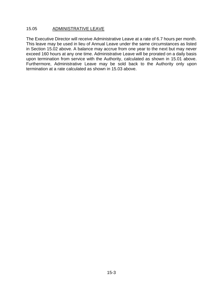## 15.05 ADMINISTRATIVE LEAVE

The Executive Director will receive Administrative Leave at a rate of 6.7 hours per month. This leave may be used in lieu of Annual Leave under the same circumstances as listed in Section 15.02 above. A balance may accrue from one year to the next but may never exceed 160 hours at any one time. Administrative Leave will be prorated on a daily basis upon termination from service with the Authority, calculated as shown in 15.01 above. Furthermore, Administrative Leave may be sold back to the Authority only upon termination at a rate calculated as shown in 15.03 above.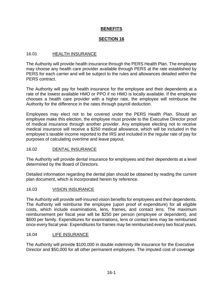# **BENEFITS**

# **SECTION 16**

# 16.01 HEALTH INSURANCE

The Authority will provide health insurance through the PERS Health Plan. The employee may choose any health care provider available through PERS at the rate established by PERS for each carrier and will be subject to the rules and allowances detailed within the PERS contract.

The Authority will pay for health insurance for the employee and their dependents at a rate of the lowest available HMO or PPO if no HMO is locally available. If the employee chooses a health care provider with a higher rate, the employee will reimburse the Authority for the difference in the rates through payroll deduction.

Employees may elect not to be covered under the PERS Health Plan. Should an employee make this election, the employee must provide to the Executive Director proof of medical insurance through another provider. Any employee electing not to receive medical insurance will receive a \$250 medical allowance, which will be included in the employee's taxable income reported to the IRS and included in the regular rate of pay for purposes of calculating overtime and leave payout.

## 16.02 DENTAL INSURANCE

The Authority will provide dental insurance for employees and their dependents at a level determined by the Board of Directors.

Detailed information regarding the dental plan should be obtained by reading the current plan document, which is incorporated herein by reference.

## 16.03 VISION INSURANCE

The Authority will provide self-insured vision benefits for employees and their dependents. The Authority will reimburse the employee (upon proof of expenditure) for all eligible costs, which include examinations, lens, frames, and contact lens. The maximum reimbursement per fiscal year will be \$250 per person (employee or dependent), and \$600 per family. Expenditures for examinations, lens or contact lens may be reimbursed once every fiscal year. Expenditures for frames may be reimbursed every two fiscal years.

## 16.04 LIFE INSURANCE

The Authority will provide \$100,000 in double indemnity life insurance for the Executive Director and \$50,000 for all other permanent employees. The imputed cost of coverage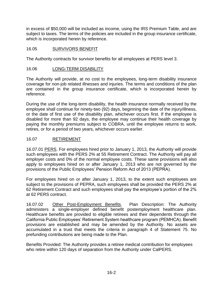in excess of \$50,000 will be included as income, using the IRS Premium Table, and are subject to taxes. The terms of the policies are included in the group insurance certificate, which is incorporated herein by reference.

# 16.05 SURVIVORS BENEFIT

The Authority contracts for survivor benefits for all employees at PERS level 3.

# 16.06 LONG-TERM DISABILITY

The Authority will provide, at no cost to the employees, long-term disability insurance coverage for non-job related illnesses and injuries. The terms and conditions of the plan are contained in the group insurance certificate, which is incorporated herein by reference.

During the use of the long-term disability, the health insurance normally received by the employee shall continue for ninety-two (92) days, beginning the date of the injury/illness, or the date of first use of the disability plan, whichever occurs first. If the employee is disabled for more than 92 days, the employee may continue their health coverage by paying the monthly premiums subject to COBRA, until the employee returns to work, retires, or for a period of two years, whichever occurs earlier.

# 16.07 RETIREMENT

16.07.01 PERS. For employees hired prior to January 1, 2013, the Authority will provide such employees with the PERS 2% at 55 Retirement Contract. The Authority will pay all employer costs and 0% of the normal employee costs. These same provisions will also apply to employees hired on or after January 1, 2013 who are not governed by the provisions of the Public Employees' Pension Reform Act of 2013 (PEPRA).

For employees hired on or after January 1, 2013, to the extent such employees are subject to the provisions of PEPRA, such employees shall be provided the PERS 2% at 62 Retirement Contract and such employees shall pay the employee's portion of the 2% at 62 PERS contract.

16.07.02 Other Post-Employment Benefits. Plan Description: The Authority administers a single-employer defined benefit postemployment healthcare plan. Healthcare benefits are provided to eligible retirees and their dependents through the California Public Employees' Retirement System healthcare program (PEMHCA). Benefit provisions are established and may be amended by the Authority. No assets are accumulated in a trust that meets the criteria in paragraph 4 of Statement 75. No prefunding contributions are being made to the Plan.

Benefits Provided: The Authority provides a retiree medical contribution for employees who retire within 120 days of separation from the Authority under CalPERS.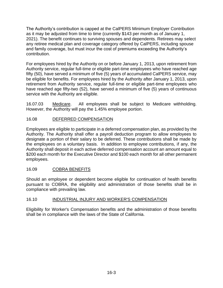The Authority's contribution is capped at the CalPERS Minimum Employer Contribution as it may be adjusted from time to time (currently \$143 per month as of January 1, 2021). The benefit continues to surviving spouses and dependents. Retirees may select any retiree medical plan and coverage category offered by CalPERS, including spouse and family coverage, but must incur the cost of premiums exceeding the Authority's contribution.

For employees hired by the Authority on or before January 1, 2013, upon retirement from Authority service, regular full-time or eligible part-time employees who have reached age fifty (50), have served a minimum of five (5) years of accumulated CalPERS service, may be eligible for benefits. For employees hired by the Authority after January 1, 2013, upon retirement from Authority service, regular full-time or eligible part-time employees who have reached age fifty-two (52), have served a minimum of five (5) years of continuous service with the Authority are eligible.

16.07.03 Medicare. All employees shall be subject to Medicare withholding. However, the Authority will pay the 1.45% employee portion.

# 16.08 DEFERRED COMPENSATION

Employees are eligible to participate in a deferred compensation plan, as provided by the Authority. The Authority shall offer a payroll deduction program to allow employees to designate a portion of their salary to be deferred. These contributions shall be made by the employees on a voluntary basis. In addition to employee contributions, if any, the Authority shall deposit in each active deferred compensation account an amount equal to \$200 each month for the Executive Director and \$100 each month for all other permanent employees.

## 16.09 COBRA BENEFITS

Should an employee or dependent become eligible for continuation of health benefits pursuant to COBRA, the eligibility and administration of those benefits shall be in compliance with prevailing law.

## 16.10 INDUSTRIAL INJURY AND WORKER'S COMPENSATION

Eligibility for Worker's Compensation benefits and the administration of those benefits shall be in compliance with the laws of the State of California.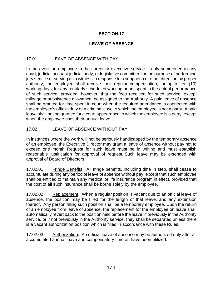# **LEAVE OF ABSENCE**

# 17.01 LEAVE OF ABSENCE WITH PAY

In the event an employee in the career or executive service is duly summoned to any court, judicial or quasi-judicial body, or legislative committee for the purpose of performing jury service or serving as a witness in response to a subpoena or other direction by proper authority, the employee shall receive their regular compensation, for up to ten (10) working days, for any regularly scheduled working hours spent in the actual performance of such service, provided, however, that the fees received for such service, except mileage or subsistence allowance, be assigned to the Authority. A paid leave of absence shall be granted for time spent in court when the required attendance is connected with the employee's official duty or a criminal case to which the employee is not a party. A paid leave shall not be granted for a court appearance to which the employee is a party, except when the employee uses their annual leave.

# 17.02 LEAVE OF ABSENCE WITHOUT PAY

In instances where the work will not be seriously handicapped by the temporary absence of an employee, the Executive Director may grant a leave of absence without pay not to exceed one month. Request for such leave must be in writing and must establish reasonable justification for approval of request. Such leave may be extended with approval of Board of Directors.

17.02.01 Fringe Benefits. All fringe benefits, including time in step, shall cease to accumulate during any period of leave of absence without pay, except that such employee shall be entitled to maintain any medical or life insurance program in effect, provided that the cost of all such insurance shall be borne solely by the employee.

17.02.02 Replacement. When a regular position is vacant due to an official leave of absence, the position may be filled for the length of that leave, and any extension thereof. Any person filling such position shall be a temporary employee. Upon the return of an employee from leave of absence, the replacement for the employee on leave shall automatically revert back to the position held before the leave, if previously in the Authority service, or if not previously in the Authority service, they shall be separated unless there is a vacant authorization position which is filled in accordance with these Rules.

17.02.03 Authorization. An official leave of absence may be authorized only after all accumulated annual leave and compensatory time off have been utilized.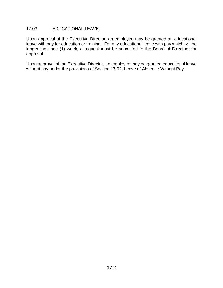## 17.03 EDUCATIONAL LEAVE

Upon approval of the Executive Director, an employee may be granted an educational leave with pay for education or training. For any educational leave with pay which will be longer than one (1) week, a request must be submitted to the Board of Directors for approval.

Upon approval of the Executive Director, an employee may be granted educational leave without pay under the provisions of Section 17.02, Leave of Absence Without Pay.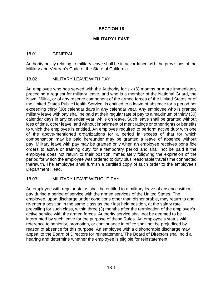## **MILITARY LEAVE**

## 18.01 GENERAL

Authority policy relating to military leave shall be in accordance with the provisions of the Military and Veteran's Code of the State of California.

## 18.02 MILITARY LEAVE WITH PAY

An employee who has served with the Authority for six (6) months or more immediately preceding a request for military leave, and who is a member of the National Guard, the Naval Militia, or of any reserve component of the armed forces of the United States or of the United States Public Health Service, is entitled to a leave of absence for a period not exceeding thirty (30) calendar days in any calendar year. Any employee who is granted military leave with pay shall be paid at their regular rate of pay to a maximum of thirty (30) calendar days in any calendar year, while on leave. Such leave shall be granted without loss of time, other leave, and without impairment of merit ratings or other rights or benefits to which the employee is entitled. An employee required to perform active duty with one of the above-mentioned organizations for a period in excess of that for which compensation may be paid hereunder may be granted a leave of absence without pay. Military leave with pay may be granted only when an employee receives bona fide orders to active or training duty for a temporary period and shall not be paid if the employee does not return to their position immediately following the expiration of the period for which the employee was ordered to duty plus reasonable travel time connected therewith. The employee shall furnish a certified copy of such order to the employee's Department Head.

## 18.03 MILITARY LEAVE WITHOUT PAY

An employee with regular status shall be entitled to a military leave of absence without pay during a period of service with the armed services of the United States. The employee, upon discharge under conditions other than dishonorable, may return to and re-enter a position in the same class as their last held position, at the salary rate prevailing for such class, within three (3) months after the termination of the employee's active service with the armed forces. Authority service shall not be deemed to be interrupted by such leave for the purpose of these Rules. An employee's status with reference to seniority, promotion, or continuance in office shall not be prejudiced by reason of absence for this purpose. An employee with a dishonorable discharge may appeal to the Board of Directors for reinstatement. The Board of Directors shall hold a hearing and determine whether the employee is eligible for reinstatement.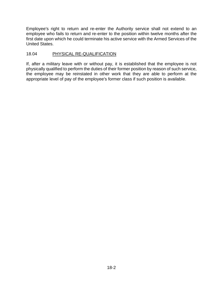Employee's right to return and re-enter the Authority service shall not extend to an employee who fails to return and re-enter to the position within twelve months after the first date upon which he could terminate his active service with the Armed Services of the United States.

## 18.04 PHYSICAL RE-QUALIFICATION

If, after a military leave with or without pay, it is established that the employee is not physically qualified to perform the duties of their former position by reason of such service, the employee may be reinstated in other work that they are able to perform at the appropriate level of pay of the employee's former class if such position is available.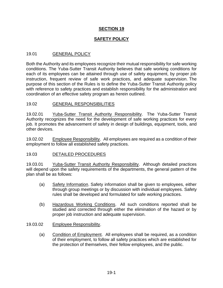## **SAFETY POLICY**

## 19.01 **GENERAL POLICY**

Both the Authority and its employees recognize their mutual responsibility for safe working conditions. The Yuba-Sutter Transit Authority believes that safe working conditions for each of its employees can be attained through use of safety equipment, by proper job instruction, frequent review of safe work practices, and adequate supervision. The purpose of this section of the Rules is to define the Yuba-Sutter Transit Authority policy with reference to safety practices and establish responsibility for the administration and coordination of an effective safety program as herein outlined.

#### 19.02 GENERAL RESPONSIBILITIES

19.02.01 Yuba-Sutter Transit Authority Responsibility. The Yuba-Sutter Transit Authority recognizes the need for the development of safe working practices for every job. It promotes the advancement of safety in design of buildings, equipment, tools, and other devices.

19.02.02 Employee Responsibility. All employees are required as a condition of their employment to follow all established safety practices.

## 19.03 DETAILED PROCEDURES

19.03.01 Yuba-Sutter Transit Authority Responsibility. Although detailed practices will depend upon the safety requirements of the departments, the general pattern of the plan shall be as follows:

- (a) Safety Information. Safety information shall be given to employees, either through group meetings or by discussion with individual employees. Safety rules shall be developed and formulated for safe working practices.
- (b) Hazardous Working Conditions. All such conditions reported shall be studied and corrected through either the elimination of the hazard or by proper job instruction and adequate supervision.

#### 19.03.02 Employee Responsibility.

(a) Condition of Employment. All employees shall be required, as a condition of their employment, to follow all safety practices which are established for the protection of themselves, their fellow employees, and the public.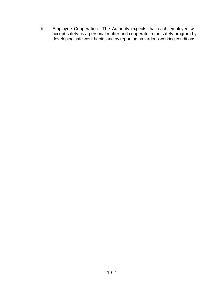(b) Employee Cooperation. The Authority expects that each employee will accept safety as a personal matter and cooperate in the safety program by developing safe work habits and by reporting hazardous working conditions.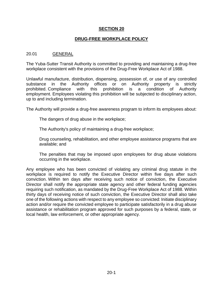## **DRUG-FREE WORKPLACE POLICY**

#### 20.01 GENERAL

The Yuba-Sutter Transit Authority is committed to providing and maintaining a drug-free workplace consistent with the provisions of the Drug-Free Workplace Act of 1988.

Unlawful manufacture, distribution, dispensing, possession of, or use of any controlled substance in the Authority offices or on Authority property is strictly prohibited. Compliance with this prohibition is a condition of Authority employment. Employees violating this prohibition will be subjected to disciplinary action, up to and including termination.

The Authority will provide a drug-free awareness program to inform its employees about:

The dangers of drug abuse in the workplace;

The Authority's policy of maintaining a drug-free workplace;

Drug counseling, rehabilitation, and other employee assistance programs that are available; and

The penalties that may be imposed upon employees for drug abuse violations occurring in the workplace.

Any employee who has been convicted of violating any criminal drug statute in the workplace is required to notify the Executive Director within five days after such conviction. Within ten days after receiving such notice of conviction, the Executive Director shall notify the appropriate state agency and other federal funding agencies requiring such notification, as mandated by the Drug-Free Workplace Act of 1988. Within thirty days of receiving notice of such conviction, the Executive Director shall also take one of the following actions with respect to any employee so convicted: Initiate disciplinary action and/or require the convicted employee to participate satisfactorily in a drug abuse assistance or rehabilitation program approved for such purposes by a federal, state, or local health, law enforcement, or other appropriate agency.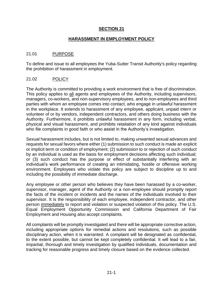## **HARASSMENT IN EMPLOYMENT POLICY**

## 21.01 PURPOSE

To define and issue to all employees the Yuba-Sutter Transit Authority's policy regarding the prohibition of harassment in employment.

#### 21.02 POLICY

The Authority is committed to providing a work environment that is free of discrimination. This policy applies to all agents and employees of the Authority, including supervisors, managers, co-workers, and non-supervisory employees, and to non-employees and third parties with whom an employee comes into contact, who engage in unlawful harassment in the workplace. It extends to harassment of any employee, applicant, unpaid intern or volunteer of or by vendors, independent contractors, and others doing business with the Authority. Furthermore, it prohibits unlawful harassment in any form, including verbal, physical and visual harassment, and prohibits retaliation of any kind against individuals who file complaints in good faith or who assist in the Authority's investigation.

Sexual harassment includes, but is not limited to, making unwanted sexual advances and requests for sexual favors where either (1) submission to such conduct is made an explicit or implicit term or condition of employment; (2) submission to or rejection of such conduct by an individual is used as the basis for employment decisions affecting such individual; or (3) such conduct has the purpose or effect of substantially interfering with an individual's work performance of creating an intimidating, hostile or offensive working environment. Employees who violate this policy are subject to discipline up to and including the possibility of immediate discharge.

Any employee or other person who believes they have been harassed by a co-worker, supervisor, manager, agent of the Authority or a non-employee should promptly report the facts of the incident or incidents and the names of the individuals involved to their supervisor. It is the responsibility of each employee, independent contractor, and other person immediately to report and violation or suspected violation of this policy. The U.S. Equal Employment Opportunity Commission and California Department of Fair Employment and Housing also accept complaints.

All complaints will be promptly investigated and there will be appropriate corrective action, including appropriate options for remedial actions and resolutions, such as possible disciplinary action, when it is warranted. A complaint will be designated as confidential, to the extent possible, but cannot be kept completely confidential. It will lead to a fair, impartial, thorough and timely investigation by qualified individuals, documentation and tracking for reasonable progress and timely closure based on the evidence collected.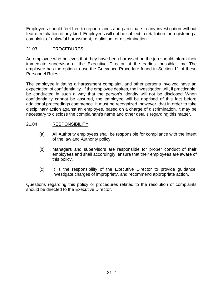Employees should feel free to report claims and participate in any investigation without fear of retaliation of any kind. Employees will not be subject to retaliation for registering a complaint of unlawful harassment, retaliation, or discrimination.

# 21.03 PROCEDURES

An employee who believes that they have been harassed on the job should inform their immediate supervisor or the Executive Director at the earliest possible time. The employee has the option to use the Grievance Procedure found in Section 11 of these Personnel Rules.

The employee initiating a harassment complaint, and other persons involved have an expectation of confidentiality. If the employee desires, the investigation will, if practicable, be conducted in such a way that the person's identity will not be disclosed. When confidentiality cannot be assured, the employee will be apprised of this fact before additional proceedings commence. It must be recognized, however, that in order to take disciplinary action against an employee, based on a charge of discrimination, it may be necessary to disclose the complainant's name and other details regarding this matter.

# 21.04 RESPONSIBILITY

- (a) All Authority employees shall be responsible for compliance with the intent of the law and Authority policy.
- (b) Managers and supervisors are responsible for proper conduct of their employees and shall accordingly, ensure that their employees are aware of this policy.
- (c) It is the responsibility of the Executive Director to provide guidance, investigate charges of impropriety, and recommend appropriate action.

Questions regarding this policy or procedures related to the resolution of complaints should be directed to the Executive Director.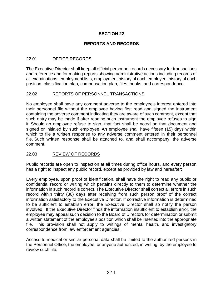# **REPORTS AND RECORDS**

# 22.01 OFFICE RECORDS

The Executive Director shall keep all official personnel records necessary for transactions and reference and for making reports showing administrative actions including records of all examinations, employment lists, employment history of each employee, history of each position, classification plan, compensation plan, files, books, and correspondence.

## 22.02 REPORTS OF PERSONNEL TRANSACTIONS

No employee shall have any comment adverse to the employee's interest entered into their personnel file without the employee having first read and signed the instrument containing the adverse comment indicating they are aware of such comment, except that such entry may be made if after reading such instrument the employee refuses to sign it. Should an employee refuse to sign, that fact shall be noted on that document and signed or initialed by such employee. An employee shall have fifteen (15) days within which to file a written response to any adverse comment entered in their personnel file. Such written response shall be attached to, and shall accompany, the adverse comment.

# 22.03 REVIEW OF RECORDS

Public records are open to inspection at all times during office hours, and every person has a right to inspect any public record, except as provided by law and hereafter:

Every employee, upon proof of identification, shall have the right to read any public or confidential record or writing which pertains directly to them to determine whether the information in such record is correct. The Executive Director shall correct all errors in such record within thirty (30) days after receiving from such person proof of the correct information satisfactory to the Executive Director. If corrective information is determined to be sufficient to establish error, the Executive Director shall so notify the person involved. If the Executive Director finds the information insufficient to establish error, the employee may appeal such decision to the Board of Directors for determination or submit a written statement of the employee's position which shall be inserted into the appropriate file. This provision shall not apply to writings of mental health, and investigatory correspondence from law enforcement agencies.

Access to medical or similar personal data shall be limited to the authorized persons in the Personnel Office, the employee, or anyone authorized, in writing, by the employee to review such file.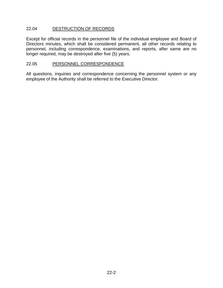## 22.04 DESTRUCTION OF RECORDS

Except for official records in the personnel file of the individual employee and Board of Directors minutes, which shall be considered permanent, all other records relating to personnel, including correspondence, examinations, and reports, after same are no longer required, may be destroyed after five (5) years.

#### 22.05 PERSONNEL CORRESPONDENCE

All questions, inquiries and correspondence concerning the personnel system or any employee of the Authority shall be referred to the Executive Director.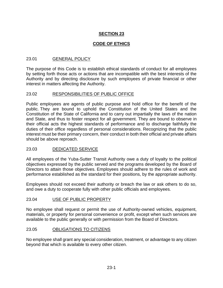# **CODE OF ETHICS**

## 23.01 GENERAL POLICY

The purpose of this Code is to establish ethical standards of conduct for all employees by setting forth those acts or actions that are incompatible with the best interests of the Authority and by directing disclosure by such employees of private financial or other interest in matters affecting the Authority.

#### 23.02 RESPONSIBILITIES OF PUBLIC OFFICE

Public employees are agents of public purpose and hold office for the benefit of the public. They are bound to uphold the Constitution of the United States and the Constitution of the State of California and to carry out impartially the laws of the nation and State, and thus to foster respect for all government. They are bound to observe in their official acts the highest standards of performance and to discharge faithfully the duties of their office regardless of personal considerations. Recognizing that the public interest must be their primary concern, their conduct in both their official and private affairs should be above reproach.

## 23.03 DEDICATED SERVICE

All employees of the Yuba-Sutter Transit Authority owe a duty of loyalty to the political objectives expressed by the public served and the programs developed by the Board of Directors to attain those objectives. Employees should adhere to the rules of work and performance established as the standard for their positions, by the appropriate authority.

Employees should not exceed their authority or breach the law or ask others to do so, and owe a duty to cooperate fully with other public officials and employees.

## 23.04 USE OF PUBLIC PROPERTY

No employee shall request or permit the use of Authority-owned vehicles, equipment, materials, or property for personal convenience or profit, except when such services are available to the public generally or with permission from the Board of Directors.

#### 23.05 OBLIGATIONS TO CITIZENS

No employee shall grant any special consideration, treatment, or advantage to any citizen beyond that which is available to every other citizen.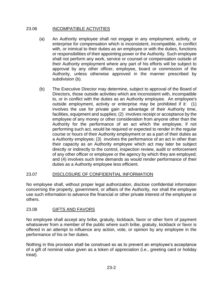## 23.06 INCOMPATIBLE ACTIVITIES

- (a) An Authority employee shall not engage in any employment, activity, or enterprise for compensation which is inconsistent, incompatible, in conflict with, or inimical to their duties as an employee or with the duties, functions or responsibilities of their appointing power or the Authority. Such employee shall not perform any work, service or counsel or compensation outside of their Authority employment where any part of his efforts will be subject to approval by any other officer, employee, board or commission of the Authority, unless otherwise approved in the manner prescribed by subdivision (b).
- (b) The Executive Director may determine, subject to approval of the Board of Directors, those outside activities which are inconsistent with, incompatible to, or in conflict with the duties as an Authority employee. An employee's outside employment, activity or enterprise may be prohibited if it: (1) involves the use for private gain or advantage of their Authority time, facilities, equipment and supplies; (2) involves receipt or acceptance by the employee of any money or other consideration from anyone other than the Authority for the performance of an act which the employee, if not performing such act, would be required or expected to render in the regular course or hours of their Authority employment or as a part of their duties as a Authority employee; (3) involves the performance of an act in other than their capacity as an Authority employee which act may later be subject directly or indirectly to the control, inspection review, audit or enforcement of any other officer or employee or the agency by which they are employed; and (4) involves such time demands as would render performance of their duties as a Authority employee less efficient.

## 23.07 DISCLOSURE OF CONFIDENTIAL INFORMATION

No employee shall, without proper legal authorization, disclose confidential information concerning the property, government, or affairs of the Authority, nor shall the employee use such information to advance the financial or other private interest of the employee or others.

## 23.08 GIFTS AND FAVORS

No employee shall accept any bribe, gratuity, kickback, favor or other form of payment whatsoever from a member of the public where such bribe, gratuity, kickback or favor is offered in an attempt to influence any action, vote, or opinion by any employee in the performance of his or her duties.

Nothing in this provision shall be construed so as to prevent an employee's acceptance of a gift of nominal value given as a token of appreciation (i.e., greeting card or holiday treat).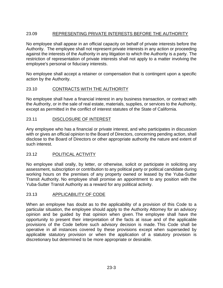# 23.09 REPRESENTING PRIVATE INTERESTS BEFORE THE AUTHORITY

No employee shall appear in an official capacity on behalf of private interests before the Authority. The employee shall not represent private interests in any action or proceeding against the interests of the Authority in any litigation to which the Authority is a party. The restriction of representation of private interests shall not apply to a matter involving the employee's personal or fiduciary interests.

No employee shall accept a retainer or compensation that is contingent upon a specific action by the Authority.

## 23.10 CONTRACTS WITH THE AUTHORITY

No employee shall have a financial interest in any business transaction, or contract with the Authority, or in the sale of real estate, materials, supplies, or services to the Authority, except as permitted in the conflict of interest statutes of the State of California.

## 23.11 DISCLOSURE OF INTEREST

Any employee who has a financial or private interest, and who participates in discussion with or gives an official opinion to the Board of Directors, concerning pending action, shall disclose to the Board of Directors or other appropriate authority the nature and extent of such interest.

## 23.12 POLITICAL ACTIVITY

No employee shall orally, by letter, or otherwise, solicit or participate in soliciting any assessment, subscription or contribution to any political party or political candidate during working hours on the premises of any property owned or leased by the Yuba-Sutter Transit Authority. No employee shall promise an appointment to any position with the Yuba-Sutter Transit Authority as a reward for any political activity.

## 23.13 APPLICABILITY OF CODE

When an employee has doubt as to the applicability of a provision of this Code to a particular situation, the employee should apply to the Authority Attorney for an advisory opinion and be guided by that opinion when given. The employee shall have the opportunity to present their interpretation of the facts at issue and of the applicable provisions of the Code before such advisory decision is made. This Code shall be operative in all instances covered by these provisions except when superseded by applicable statutory provision or when the application of a statutory provision is discretionary but determined to be more appropriate or desirable.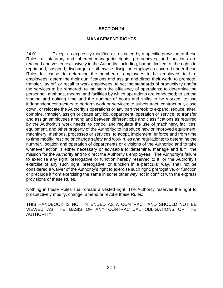#### **MANAGEMENT RIGHTS**

24.01 Except as expressly modified or restricted by a specific provision of these Rules, all statutory and inherent managerial rights, prerogatives, and functions are retained and vested exclusively in the Authority, including, but not limited to, the rights to reprimand, suspend, discharge, or otherwise discipline employees covered under these Rules for cause; to determine the number of employees to be employed; to hire employees, determine their qualifications and assign and direct their work; to promote, transfer, lay off, or recall to work employees; to set the standards of productivity and/or the services to be rendered; to maintain the efficiency of operations; to determine the personnel, methods, means, and facilities by which operations are conducted; to set the starting and quitting time and the number of hours and shifts to be worked; to use independent contractors to perform work or services; to subcontract, contract out, close down, or relocate the Authority's operations or any part thereof; to expand, reduce, alter, combine, transfer, assign or cease any job, department, operation or service; to transfer and assign employees among and between different jobs and classifications as required by the Authority's work needs; to control and regulate the use of machinery, facilities, equipment, and other property of the Authority; to introduce new or improved equipment, machinery, methods, processes or services; to adopt, implement, enforce and from time to time modify, rescind or change safety and work rules and regulations; to determine the number, location and operation of departments or divisions of the Authority; and to take whatever action is either necessary or advisable to determine, manage and fulfill the mission for the Authority and to direct the Authority's employees. The Authority's failure to exercise any right, prerogative or function hereby reserved to it, or the Authority's exercise of any such right, prerogative, or function in a particular way, shall not be considered a waiver of the Authority's right to exercise such right, prerogative, or function or preclude it from exercising the same in some other way not in conflict with the express provisions of these Rules.

Nothing in these Rules shall create a vested right. The Authority reserves the right to prospectively modify, change, amend or revoke these Rules.

THIS HANDBOOK IS NOT INTENDED AS A CONTRACT AND SHOULD NOT BE VIEWED AS THE BASIS OF ANY CONTRACTUAL OBLIGATIONS OF THE AUTHORITY.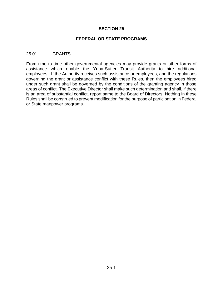## **FEDERAL OR STATE PROGRAMS**

## 25.01 GRANTS

From time to time other governmental agencies may provide grants or other forms of assistance which enable the Yuba-Sutter Transit Authority to hire additional employees. If the Authority receives such assistance or employees, and the regulations governing the grant or assistance conflict with these Rules, then the employees hired under such grant shall be governed by the conditions of the granting agency in those areas of conflict. The Executive Director shall make such determination and shall, if there is an area of substantial conflict, report same to the Board of Directors. Nothing in these Rules shall be construed to prevent modification for the purpose of participation in Federal or State manpower programs.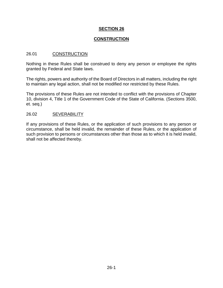## **CONSTRUCTION**

#### 26.01 CONSTRUCTION

Nothing in these Rules shall be construed to deny any person or employee the rights granted by Federal and State laws.

The rights, powers and authority of the Board of Directors in all matters, including the right to maintain any legal action, shall not be modified nor restricted by these Rules.

The provisions of these Rules are not intended to conflict with the provisions of Chapter 10, division 4, Title 1 of the Government Code of the State of California. (Sections 3500, et. seq.)

#### 26.02 SEVERABILITY

If any provisions of these Rules, or the application of such provisions to any person or circumstance, shall be held invalid, the remainder of these Rules, or the application of such provision to persons or circumstances other than those as to which it is held invalid, shall not be affected thereby.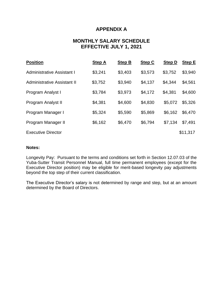# **APPENDIX A**

# **MONTHLY SALARY SCHEDULE EFFECTIVE JULY 1, 2021**

| <b>Position</b>             | <b>Step A</b> | <b>Step B</b> | <b>Step C</b> | <b>Step D</b> | <b>Step E</b> |
|-----------------------------|---------------|---------------|---------------|---------------|---------------|
| Administrative Assistant I  | \$3,241       | \$3,403       | \$3,573       | \$3,752       | \$3,940       |
| Administrative Assistant II | \$3,752       | \$3,940       | \$4,137       | \$4,344       | \$4,561       |
| Program Analyst I           | \$3,784       | \$3,973       | \$4,172       | \$4,381       | \$4,600       |
| Program Analyst II          | \$4,381       | \$4,600       | \$4,830       | \$5,072       | \$5,326       |
| Program Manager I           | \$5,324       | \$5,590       | \$5,869       | \$6,162       | \$6,470       |
| Program Manager II          | \$6,162       | \$6,470       | \$6,794       | \$7,134       | \$7,491       |
| <b>Executive Director</b>   |               |               |               |               | \$11,317      |

#### **Notes:**

Longevity Pay: Pursuant to the terms and conditions set forth in Section 12.07.03 of the Yuba-Sutter Transit Personnel Manual, full time permanent employees (except for the Executive Director position) may be eligible for merit-based longevity pay adjustments beyond the top step of their current classification.

The Executive Director's salary is not determined by range and step, but at an amount determined by the Board of Directors.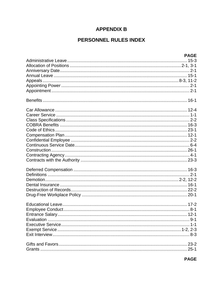# **APPENDIX B**

# PERSONNEL RULES INDEX

| <b>PAGE</b> |  |
|-------------|--|
|             |  |
|             |  |
|             |  |
|             |  |
|             |  |
|             |  |
|             |  |
|             |  |
|             |  |
|             |  |
|             |  |
|             |  |
|             |  |
|             |  |
|             |  |
|             |  |
|             |  |
|             |  |
|             |  |
|             |  |
|             |  |
|             |  |
|             |  |
|             |  |
|             |  |
|             |  |
|             |  |
|             |  |
|             |  |
|             |  |
|             |  |
|             |  |
|             |  |
|             |  |
|             |  |
|             |  |
|             |  |
|             |  |
|             |  |